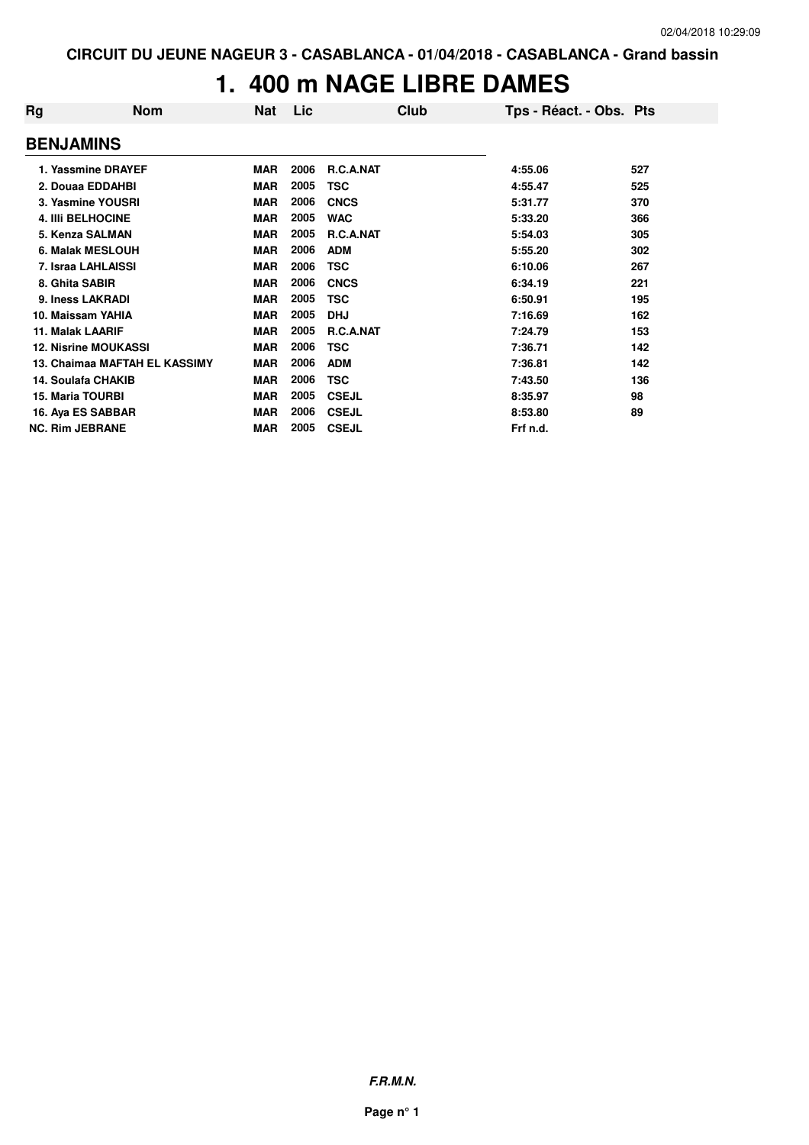#### **1. 400 m NAGE LIBRE DAMES**

| Rg                      | <b>Nom</b>                    | Nat        | Lic  | Club             | Tps - Réact. - Obs. Pts |     |
|-------------------------|-------------------------------|------------|------|------------------|-------------------------|-----|
| <b>BENJAMINS</b>        |                               |            |      |                  |                         |     |
|                         | 1. Yassmine DRAYEF            | <b>MAR</b> | 2006 | <b>R.C.A.NAT</b> | 4:55.06                 | 527 |
|                         | 2. Douaa EDDAHBI              | MAR        | 2005 | TSC              | 4:55.47                 | 525 |
|                         | 3. Yasmine YOUSRI             | <b>MAR</b> | 2006 | <b>CNCS</b>      | 5:31.77                 | 370 |
|                         | <b>4. IIII BELHOCINE</b>      | <b>MAR</b> | 2005 | <b>WAC</b>       | 5:33.20                 | 366 |
|                         | 5. Kenza SALMAN               | <b>MAR</b> | 2005 | <b>R.C.A.NAT</b> | 5:54.03                 | 305 |
|                         | <b>6. Malak MESLOUH</b>       | <b>MAR</b> | 2006 | <b>ADM</b>       | 5:55.20                 | 302 |
|                         | 7. Israa LAHLAISSI            | <b>MAR</b> | 2006 | TSC              | 6:10.06                 | 267 |
| 8. Ghita SABIR          |                               | <b>MAR</b> | 2006 | <b>CNCS</b>      | 6:34.19                 | 221 |
|                         | 9. Iness LAKRADI              | <b>MAR</b> | 2005 | TSC              | 6:50.91                 | 195 |
|                         | 10. Maissam YAHIA             | <b>MAR</b> | 2005 | <b>DHJ</b>       | 7:16.69                 | 162 |
| <b>11. Malak LAARIF</b> |                               | <b>MAR</b> | 2005 | R.C.A.NAT        | 7:24.79                 | 153 |
|                         | <b>12. Nisrine MOUKASSI</b>   | <b>MAR</b> | 2006 | TSC              | 7:36.71                 | 142 |
|                         | 13. Chaimaa MAFTAH EL KASSIMY | <b>MAR</b> | 2006 | <b>ADM</b>       | 7:36.81                 | 142 |
|                         | 14. Soulafa CHAKIB            | MAR        | 2006 | TSC              | 7:43.50                 | 136 |
| <b>15. Maria TOURBI</b> |                               | <b>MAR</b> | 2005 | <b>CSEJL</b>     | 8:35.97                 | 98  |
|                         | 16. Aya ES SABBAR             | <b>MAR</b> | 2006 | <b>CSEJL</b>     | 8:53.80                 | 89  |
| <b>NC. Rim JEBRANE</b>  |                               | <b>MAR</b> | 2005 | <b>CSEJL</b>     | Frf n.d.                |     |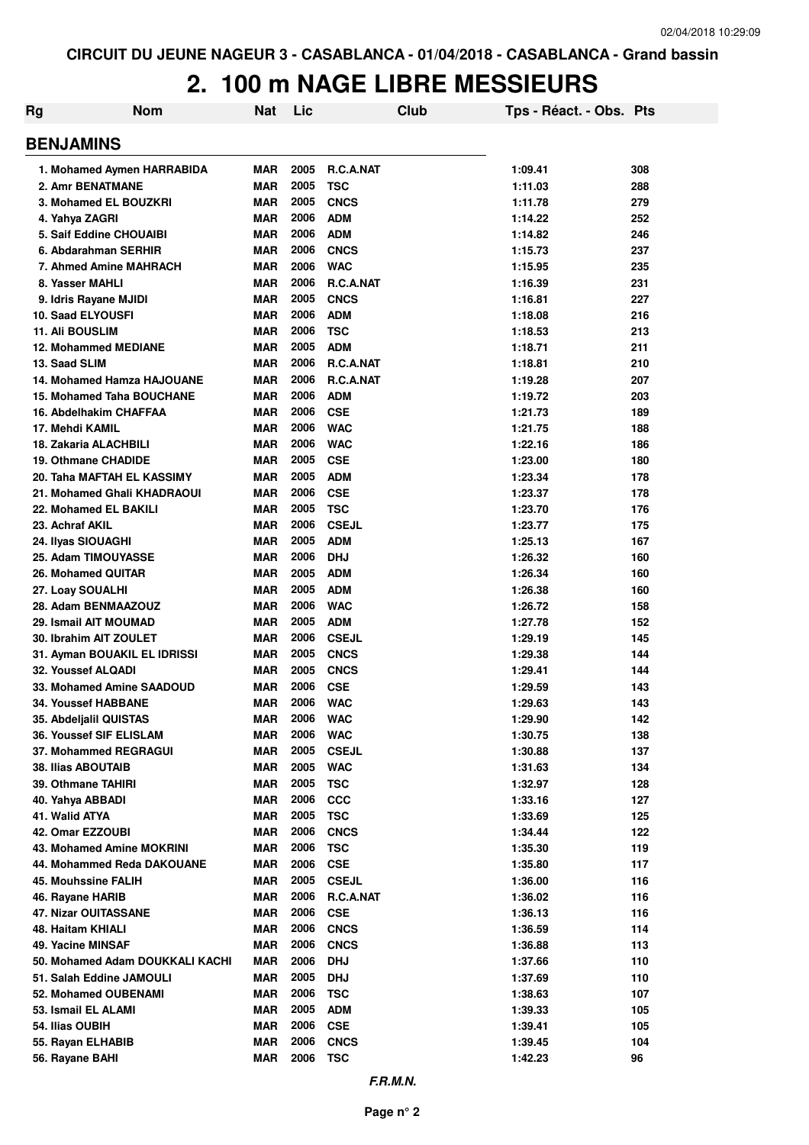# **2. 100 m NAGE LIBRE MESSIEURS**

| Rg                                                     | <b>Nom</b>                      | <b>Nat</b>               | Lic          |                           | Club | Tps - Réact. - Obs. Pts |            |
|--------------------------------------------------------|---------------------------------|--------------------------|--------------|---------------------------|------|-------------------------|------------|
| <b>BENJAMINS</b>                                       |                                 |                          |              |                           |      |                         |            |
|                                                        | 1. Mohamed Aymen HARRABIDA      | <b>MAR</b>               | 2005         | R.C.A.NAT                 |      | 1:09.41                 | 308        |
| 2. Amr BENATMANE                                       |                                 | <b>MAR</b>               | 2005         | <b>TSC</b>                |      | 1:11.03                 | 288        |
| 3. Mohamed EL BOUZKRI                                  |                                 | <b>MAR</b>               | 2005         | <b>CNCS</b>               |      | 1:11.78                 | 279        |
| 4. Yahya ZAGRI                                         |                                 | <b>MAR</b>               | 2006         | <b>ADM</b>                |      | 1:14.22                 | 252        |
| 5. Saif Eddine CHOUAIBI                                |                                 | <b>MAR</b>               | 2006         | <b>ADM</b>                |      | 1:14.82                 | 246        |
| 6. Abdarahman SERHIR                                   |                                 | <b>MAR</b>               | 2006         | <b>CNCS</b>               |      | 1:15.73                 | 237        |
| 7. Ahmed Amine MAHRACH                                 |                                 | <b>MAR</b>               | 2006         | <b>WAC</b>                |      | 1:15.95                 | 235        |
| 8. Yasser MAHLI                                        |                                 | <b>MAR</b>               | 2006         | <b>R.C.A.NAT</b>          |      | 1:16.39                 | 231        |
| 9. Idris Rayane MJIDI                                  |                                 | <b>MAR</b>               | 2005         | <b>CNCS</b>               |      | 1:16.81                 | 227        |
| <b>10. Saad ELYOUSFI</b>                               |                                 | <b>MAR</b>               | 2006         | <b>ADM</b>                |      | 1:18.08                 | 216        |
| <b>11. Ali BOUSLIM</b>                                 |                                 | <b>MAR</b>               | 2006         | <b>TSC</b>                |      | 1:18.53                 | 213        |
| <b>12. Mohammed MEDIANE</b>                            |                                 | <b>MAR</b>               | 2005         | <b>ADM</b>                |      | 1:18.71                 | 211        |
| 13. Saad SLIM                                          |                                 | <b>MAR</b>               | 2006         | R.C.A.NAT                 |      | 1:18.81                 | 210        |
|                                                        | 14. Mohamed Hamza HAJOUANE      | <b>MAR</b>               | 2006         | <b>R.C.A.NAT</b>          |      | 1:19.28                 | 207        |
| <b>15. Mohamed Taha BOUCHANE</b>                       |                                 | <b>MAR</b>               | 2006         | <b>ADM</b>                |      | 1:19.72                 | 203        |
| 16. Abdelhakim CHAFFAA                                 |                                 | <b>MAR</b>               | 2006         | <b>CSE</b>                |      | 1:21.73                 | 189        |
| 17. Mehdi KAMIL                                        |                                 | <b>MAR</b>               | 2006         | <b>WAC</b>                |      | 1:21.75                 | 188        |
| <b>18. Zakaria ALACHBILI</b>                           |                                 | <b>MAR</b>               | 2006         | <b>WAC</b>                |      | 1:22.16                 | 186        |
| <b>19. Othmane CHADIDE</b>                             |                                 | <b>MAR</b>               | 2005         | <b>CSE</b>                |      | 1:23.00                 | 180        |
| 20. Taha MAFTAH EL KASSIMY                             |                                 | <b>MAR</b>               | 2005         | <b>ADM</b>                |      | 1:23.34                 | 178        |
|                                                        | 21. Mohamed Ghali KHADRAOUI     | <b>MAR</b>               | 2006         | <b>CSE</b>                |      | 1:23.37                 | 178        |
| 22. Mohamed EL BAKILI                                  |                                 | <b>MAR</b>               | 2005         | <b>TSC</b>                |      | 1:23.70                 | 176        |
| 23. Achraf AKIL                                        |                                 | <b>MAR</b>               | 2006         | <b>CSEJL</b>              |      | 1:23.77                 | 175        |
| 24. Ilyas SIOUAGHI                                     |                                 | <b>MAR</b>               | 2005         | <b>ADM</b>                |      | 1:25.13                 | 167        |
| 25. Adam TIMOUYASSE                                    |                                 | <b>MAR</b>               | 2006         | <b>DHJ</b>                |      | 1:26.32                 | 160        |
| 26. Mohamed QUITAR                                     |                                 | <b>MAR</b>               | 2005         | <b>ADM</b>                |      | 1:26.34                 | 160        |
| 27. Loay SOUALHI                                       |                                 | <b>MAR</b>               | 2005         | <b>ADM</b>                |      | 1:26.38                 | 160        |
| 28. Adam BENMAAZOUZ                                    |                                 | <b>MAR</b>               | 2006         | <b>WAC</b>                |      | 1:26.72                 | 158        |
| 29. Ismail AIT MOUMAD                                  |                                 | <b>MAR</b>               | 2005         | <b>ADM</b>                |      | 1:27.78                 | 152        |
| 30. Ibrahim AIT ZOULET                                 |                                 | <b>MAR</b>               | 2006         | <b>CSEJL</b>              |      | 1:29.19                 | 145        |
| 31. Ayman BOUAKIL EL IDRISSI                           |                                 | <b>MAR</b>               | 2005<br>2005 | <b>CNCS</b>               |      | 1:29.38                 | 144        |
| <b>32. Youssef ALQADI</b><br>33. Mohamed Amine SAADOUD |                                 | <b>MAR</b><br><b>MAR</b> | 2006         | <b>CNCS</b><br><b>CSE</b> |      | 1:29.41                 | 144        |
| <b>34. Youssef HABBANE</b>                             |                                 | <b>MAR</b>               | 2006         | <b>WAC</b>                |      | 1:29.59<br>1:29.63      | 143<br>143 |
| 35. Abdeljalil QUISTAS                                 |                                 |                          | 2006         | <b>WAC</b>                |      |                         | 142        |
| 36. Youssef SIF ELISLAM                                |                                 | MAR<br><b>MAR</b>        | 2006         | <b>WAC</b>                |      | 1:29.90<br>1:30.75      | 138        |
| 37. Mohammed REGRAGUI                                  |                                 | <b>MAR</b>               | 2005         | <b>CSEJL</b>              |      | 1:30.88                 | 137        |
| 38. Ilias ABOUTAIB                                     |                                 | <b>MAR</b>               | 2005         | <b>WAC</b>                |      | 1:31.63                 | 134        |
| 39. Othmane TAHIRI                                     |                                 | <b>MAR</b>               | 2005         | <b>TSC</b>                |      | 1:32.97                 | 128        |
| 40. Yahya ABBADI                                       |                                 | <b>MAR</b>               | 2006         | <b>CCC</b>                |      | 1:33.16                 | 127        |
| 41. Walid ATYA                                         |                                 | <b>MAR</b>               | 2005         | <b>TSC</b>                |      | 1:33.69                 | 125        |
| 42. Omar EZZOUBI                                       |                                 | <b>MAR</b>               | 2006         | <b>CNCS</b>               |      | 1:34.44                 | 122        |
| 43. Mohamed Amine MOKRINI                              |                                 | <b>MAR</b>               | 2006         | <b>TSC</b>                |      | 1:35.30                 | 119        |
|                                                        | 44. Mohammed Reda DAKOUANE      | <b>MAR</b>               | 2006         | <b>CSE</b>                |      | 1:35.80                 | 117        |
| <b>45. Mouhssine FALIH</b>                             |                                 | <b>MAR</b>               | 2005         | <b>CSEJL</b>              |      | 1:36.00                 | 116        |
| 46. Rayane HARIB                                       |                                 | MAR                      | 2006         | R.C.A.NAT                 |      | 1:36.02                 | 116        |
| 47. Nizar OUITASSANE                                   |                                 | <b>MAR</b>               | 2006         | <b>CSE</b>                |      | 1:36.13                 | 116        |
| 48. Haitam KHIALI                                      |                                 | <b>MAR</b>               | 2006         | <b>CNCS</b>               |      | 1:36.59                 | 114        |
| 49. Yacine MINSAF                                      |                                 | <b>MAR</b>               | 2006         | <b>CNCS</b>               |      | 1:36.88                 | 113        |
|                                                        | 50. Mohamed Adam DOUKKALI KACHI | <b>MAR</b>               | 2006         | <b>DHJ</b>                |      | 1:37.66                 | 110        |
| 51. Salah Eddine JAMOULI                               |                                 | <b>MAR</b>               | 2005         | <b>DHJ</b>                |      | 1:37.69                 | 110        |
| 52. Mohamed OUBENAMI                                   |                                 | <b>MAR</b>               | 2006         | <b>TSC</b>                |      | 1:38.63                 | 107        |
| 53. Ismail EL ALAMI                                    |                                 | <b>MAR</b>               | 2005         | <b>ADM</b>                |      | 1:39.33                 | 105        |
| 54. Ilias OUBIH                                        |                                 | <b>MAR</b>               | 2006         | <b>CSE</b>                |      | 1:39.41                 | 105        |
| 55. Rayan ELHABIB                                      |                                 | <b>MAR</b>               | 2006         | <b>CNCS</b>               |      | 1:39.45                 | 104        |
| 56. Rayane BAHI                                        |                                 | <b>MAR</b>               | 2006         | <b>TSC</b>                |      | 1:42.23                 | 96         |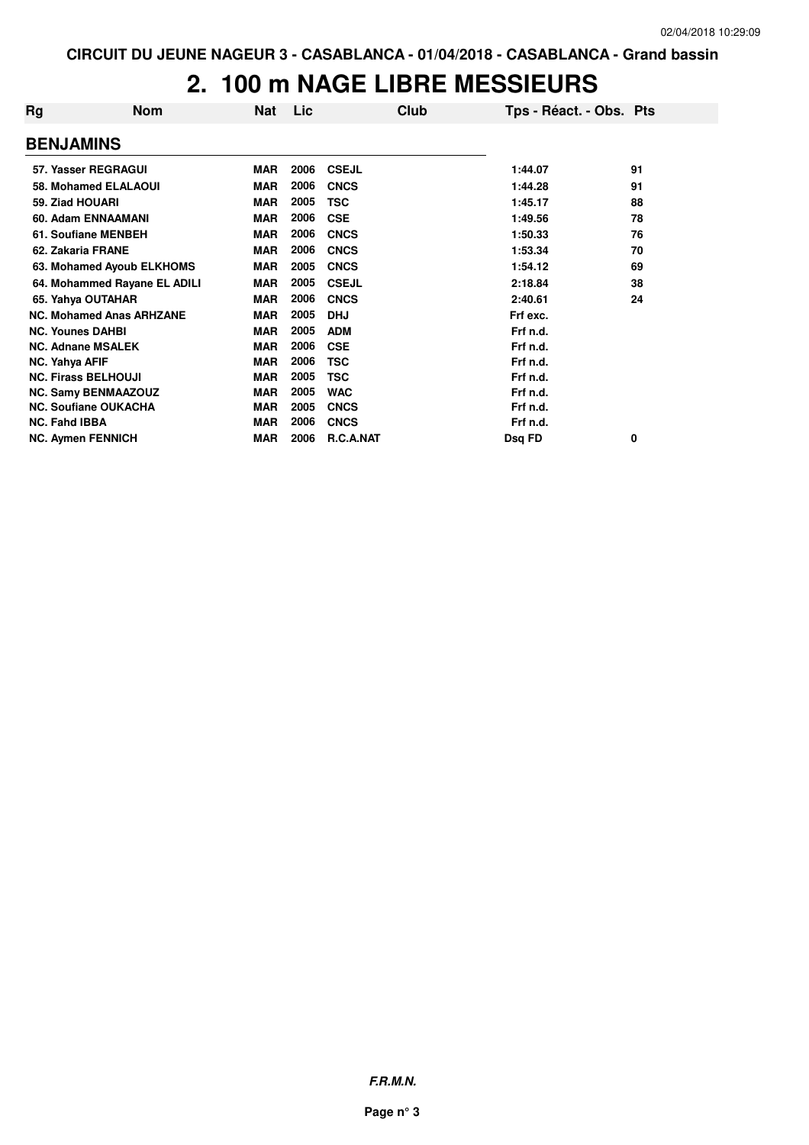# **2. 100 m NAGE LIBRE MESSIEURS**

| Rg                       | <b>Nom</b>                      | Nat        | Lic  | Club         | Tps - Réact. - Obs. Pts |    |
|--------------------------|---------------------------------|------------|------|--------------|-------------------------|----|
| <b>BENJAMINS</b>         |                                 |            |      |              |                         |    |
|                          | 57. Yasser REGRAGUI             | <b>MAR</b> | 2006 | <b>CSEJL</b> | 1:44.07                 | 91 |
|                          | 58. Mohamed ELALAOUI            | <b>MAR</b> | 2006 | <b>CNCS</b>  | 1:44.28                 | 91 |
| 59. Ziad HOUARI          |                                 | <b>MAR</b> | 2005 | <b>TSC</b>   | 1:45.17                 | 88 |
|                          | 60. Adam ENNAAMANI              | MAR        | 2006 | <b>CSE</b>   | 1:49.56                 | 78 |
|                          | 61. Soufiane MENBEH             | <b>MAR</b> | 2006 | <b>CNCS</b>  | 1:50.33                 | 76 |
| 62. Zakaria FRANE        |                                 | <b>MAR</b> | 2006 | <b>CNCS</b>  | 1:53.34                 | 70 |
|                          | 63. Mohamed Ayoub ELKHOMS       | <b>MAR</b> | 2005 | <b>CNCS</b>  | 1:54.12                 | 69 |
|                          | 64. Mohammed Rayane EL ADILI    | <b>MAR</b> | 2005 | <b>CSEJL</b> | 2:18.84                 | 38 |
|                          | 65. Yahya OUTAHAR               | <b>MAR</b> | 2006 | <b>CNCS</b>  | 2:40.61                 | 24 |
|                          | <b>NC. Mohamed Anas ARHZANE</b> | <b>MAR</b> | 2005 | <b>DHJ</b>   | Frf exc.                |    |
| <b>NC. Younes DAHBI</b>  |                                 | <b>MAR</b> | 2005 | <b>ADM</b>   | Frf n.d.                |    |
|                          | <b>NC. Adnane MSALEK</b>        | <b>MAR</b> | 2006 | <b>CSE</b>   | Frf n.d.                |    |
| NC. Yahya AFIF           |                                 | <b>MAR</b> | 2006 | <b>TSC</b>   | Frf n.d.                |    |
|                          | <b>NC. Firass BELHOUJI</b>      | <b>MAR</b> | 2005 | <b>TSC</b>   | Frf n.d.                |    |
|                          | <b>NC. Samy BENMAAZOUZ</b>      | <b>MAR</b> | 2005 | <b>WAC</b>   | Frf n.d.                |    |
|                          | <b>NC. Soufiane OUKACHA</b>     | <b>MAR</b> | 2005 | <b>CNCS</b>  | Frf n.d.                |    |
| <b>NC. Fahd IBBA</b>     |                                 | <b>MAR</b> | 2006 | <b>CNCS</b>  | Frf n.d.                |    |
| <b>NC. Aymen FENNICH</b> |                                 | MAR        | 2006 | R.C.A.NAT    | Dsq FD                  | 0  |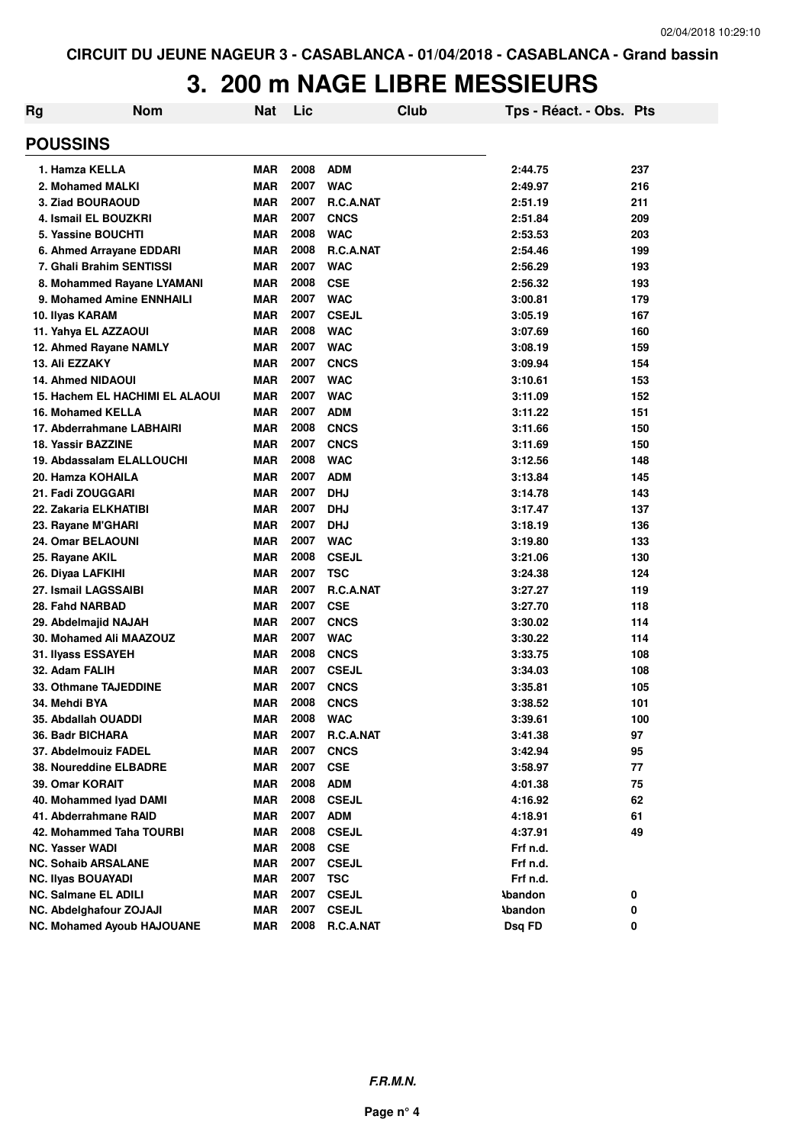# **3. 200 m NAGE LIBRE MESSIEURS**

| Rg                          | Nom                               | <b>Nat</b> | Lic  |                  | Club | Tps - Réact. - Obs. Pts |     |
|-----------------------------|-----------------------------------|------------|------|------------------|------|-------------------------|-----|
| <b>POUSSINS</b>             |                                   |            |      |                  |      |                         |     |
| 1. Hamza KELLA              |                                   | <b>MAR</b> | 2008 | <b>ADM</b>       |      | 2:44.75                 | 237 |
| 2. Mohamed MALKI            |                                   | <b>MAR</b> | 2007 | <b>WAC</b>       |      | 2:49.97                 | 216 |
| 3. Ziad BOURAOUD            |                                   | <b>MAR</b> | 2007 | <b>R.C.A.NAT</b> |      | 2:51.19                 | 211 |
| 4. Ismail EL BOUZKRI        |                                   | <b>MAR</b> | 2007 | <b>CNCS</b>      |      | 2:51.84                 | 209 |
| 5. Yassine BOUCHTI          |                                   | <b>MAR</b> | 2008 | <b>WAC</b>       |      | 2:53.53                 | 203 |
|                             | 6. Ahmed Arrayane EDDARI          | <b>MAR</b> | 2008 | R.C.A.NAT        |      | 2:54.46                 | 199 |
| 7. Ghali Brahim SENTISSI    |                                   | <b>MAR</b> | 2007 | <b>WAC</b>       |      | 2:56.29                 | 193 |
|                             | 8. Mohammed Rayane LYAMANI        | MAR        | 2008 | <b>CSE</b>       |      | 2:56.32                 | 193 |
|                             | 9. Mohamed Amine ENNHAILI         | <b>MAR</b> | 2007 | <b>WAC</b>       |      | 3:00.81                 | 179 |
| 10. Ilyas KARAM             |                                   | <b>MAR</b> | 2007 | <b>CSEJL</b>     |      | 3:05.19                 | 167 |
| 11. Yahya EL AZZAOUI        |                                   | MAR        | 2008 | <b>WAC</b>       |      | 3:07.69                 | 160 |
| 12. Ahmed Rayane NAMLY      |                                   | <b>MAR</b> | 2007 | <b>WAC</b>       |      | 3:08.19                 | 159 |
| 13. Ali EZZAKY              |                                   | <b>MAR</b> | 2007 | <b>CNCS</b>      |      | 3:09.94                 | 154 |
| <b>14. Ahmed NIDAOUI</b>    |                                   | <b>MAR</b> | 2007 | <b>WAC</b>       |      | 3:10.61                 | 153 |
|                             | 15. Hachem EL HACHIMI EL ALAOUI   | <b>MAR</b> | 2007 | <b>WAC</b>       |      | 3:11.09                 | 152 |
| <b>16. Mohamed KELLA</b>    |                                   | <b>MAR</b> | 2007 | <b>ADM</b>       |      | 3:11.22                 | 151 |
| 17. Abderrahmane LABHAIRI   |                                   | <b>MAR</b> | 2008 | <b>CNCS</b>      |      | 3:11.66                 | 150 |
| <b>18. Yassir BAZZINE</b>   |                                   | <b>MAR</b> | 2007 | <b>CNCS</b>      |      | 3:11.69                 | 150 |
|                             | 19. Abdassalam ELALLOUCHI         | MAR        | 2008 | <b>WAC</b>       |      | 3:12.56                 | 148 |
| 20. Hamza KOHAILA           |                                   | <b>MAR</b> | 2007 | <b>ADM</b>       |      | 3:13.84                 | 145 |
| 21. Fadi ZOUGGARI           |                                   | <b>MAR</b> | 2007 | <b>DHJ</b>       |      | 3:14.78                 | 143 |
| 22. Zakaria ELKHATIBI       |                                   | <b>MAR</b> | 2007 | <b>DHJ</b>       |      | 3:17.47                 | 137 |
| 23. Rayane M'GHARI          |                                   | <b>MAR</b> | 2007 | <b>DHJ</b>       |      | 3:18.19                 | 136 |
| 24. Omar BELAOUNI           |                                   | <b>MAR</b> | 2007 | <b>WAC</b>       |      | 3:19.80                 | 133 |
| 25. Rayane AKIL             |                                   | <b>MAR</b> | 2008 | <b>CSEJL</b>     |      | 3:21.06                 | 130 |
| 26. Diyaa LAFKIHI           |                                   | <b>MAR</b> | 2007 | <b>TSC</b>       |      | 3:24.38                 | 124 |
| 27. Ismail LAGSSAIBI        |                                   | <b>MAR</b> | 2007 | R.C.A.NAT        |      | 3:27.27                 | 119 |
| 28. Fahd NARBAD             |                                   | <b>MAR</b> | 2007 | <b>CSE</b>       |      | 3:27.70                 | 118 |
| 29. Abdelmajid NAJAH        |                                   | <b>MAR</b> | 2007 | <b>CNCS</b>      |      | 3:30.02                 | 114 |
| 30. Mohamed Ali MAAZOUZ     |                                   | <b>MAR</b> | 2007 | <b>WAC</b>       |      | 3:30.22                 | 114 |
| 31. Ilyass ESSAYEH          |                                   | <b>MAR</b> | 2008 | <b>CNCS</b>      |      | 3:33.75                 | 108 |
| 32. Adam FALIH              |                                   | <b>MAR</b> | 2007 | <b>CSEJL</b>     |      | 3:34.03                 | 108 |
| 33. Othmane TAJEDDINE       |                                   | <b>MAR</b> | 2007 | <b>CNCS</b>      |      | 3:35.81                 | 105 |
| 34. Mehdi BYA               |                                   | <b>MAR</b> | 2008 | <b>CNCS</b>      |      | 3:38.52                 | 101 |
| 35. Abdallah OUADDI         |                                   | MAR        | 2008 | <b>WAC</b>       |      | 3:39.61                 | 100 |
| 36. Badr BICHARA            |                                   | MAR        | 2007 | R.C.A.NAT        |      | 3:41.38                 | 97  |
| 37. Abdelmouiz FADEL        |                                   | <b>MAR</b> | 2007 | <b>CNCS</b>      |      | 3:42.94                 | 95  |
| 38. Noureddine ELBADRE      |                                   | <b>MAR</b> | 2007 | <b>CSE</b>       |      | 3:58.97                 | 77  |
| 39. Omar KORAIT             |                                   | <b>MAR</b> | 2008 | <b>ADM</b>       |      | 4:01.38                 | 75  |
| 40. Mohammed Iyad DAMI      |                                   | <b>MAR</b> | 2008 | <b>CSEJL</b>     |      | 4:16.92                 | 62  |
| 41. Abderrahmane RAID       |                                   | <b>MAR</b> | 2007 | <b>ADM</b>       |      | 4:18.91                 | 61  |
|                             | 42. Mohammed Taha TOURBI          | <b>MAR</b> | 2008 | <b>CSEJL</b>     |      | 4:37.91                 | 49  |
| <b>NC. Yasser WADI</b>      |                                   | <b>MAR</b> | 2008 | <b>CSE</b>       |      | Frf n.d.                |     |
| <b>NC. Sohaib ARSALANE</b>  |                                   | <b>MAR</b> | 2007 | <b>CSEJL</b>     |      | Frf n.d.                |     |
| <b>NC. Ilyas BOUAYADI</b>   |                                   | <b>MAR</b> | 2007 | <b>TSC</b>       |      | Frf n.d.                |     |
| <b>NC. Salmane EL ADILI</b> |                                   | <b>MAR</b> | 2007 | <b>CSEJL</b>     |      | <b>Abandon</b>          | 0   |
| NC. Abdelghafour ZOJAJI     |                                   | <b>MAR</b> | 2007 | <b>CSEJL</b>     |      | <b>Abandon</b>          | 0   |
|                             | <b>NC. Mohamed Ayoub HAJOUANE</b> | <b>MAR</b> | 2008 | R.C.A.NAT        |      | Dsq FD                  | 0   |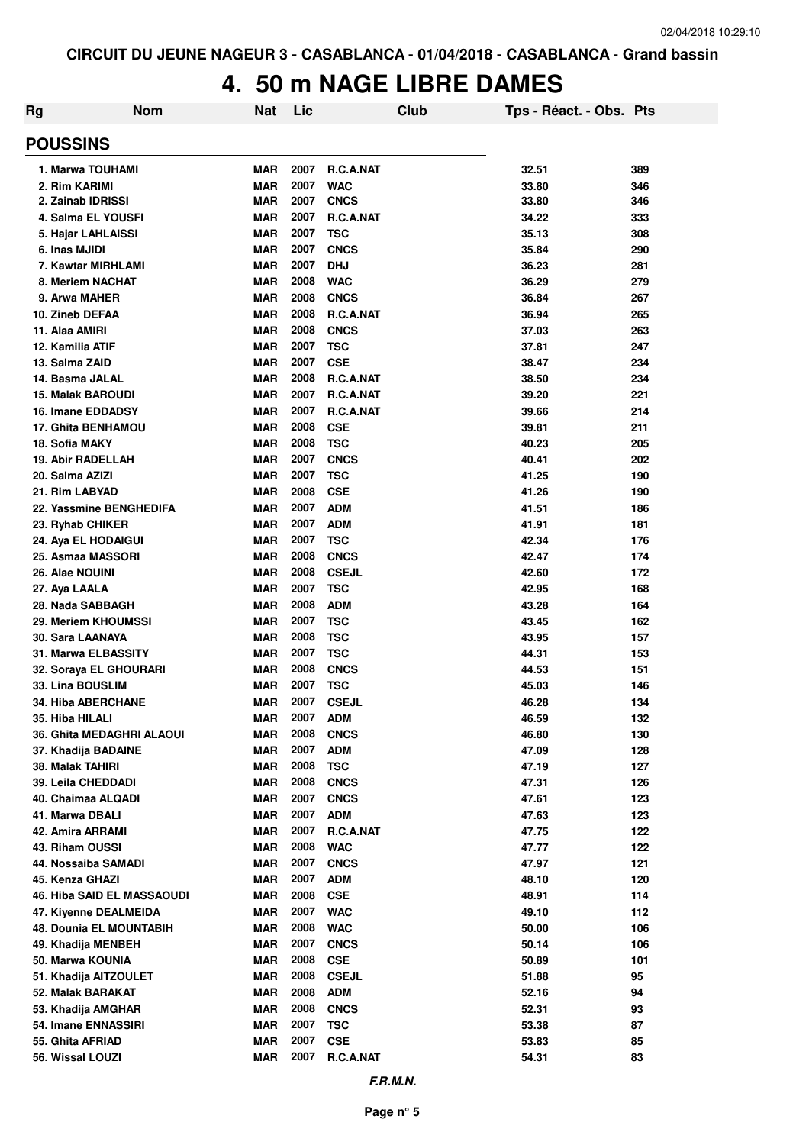### **4. 50 m NAGE LIBRE DAMES**

| <b>Rg</b>                           | <b>Nom</b> | <b>Nat</b>               | Lic          |                         | Club | Tps - Réact. - Obs. Pts |            |
|-------------------------------------|------------|--------------------------|--------------|-------------------------|------|-------------------------|------------|
| <b>POUSSINS</b>                     |            |                          |              |                         |      |                         |            |
| 1. Marwa TOUHAMI                    |            | <b>MAR</b>               | 2007         | R.C.A.NAT               |      | 32.51                   | 389        |
| 2. Rim KARIMI                       |            | <b>MAR</b>               | 2007         | <b>WAC</b>              |      | 33.80                   | 346        |
| 2. Zainab IDRISSI                   |            | <b>MAR</b>               | 2007         | <b>CNCS</b>             |      | 33.80                   | 346        |
| 4. Salma EL YOUSFI                  |            | <b>MAR</b>               | 2007         | <b>R.C.A.NAT</b>        |      | 34.22                   | 333        |
| 5. Hajar LAHLAISSI                  |            | <b>MAR</b>               | 2007         | <b>TSC</b>              |      | 35.13                   | 308        |
| 6. Inas MJIDI                       |            | <b>MAR</b>               | 2007         | <b>CNCS</b>             |      | 35.84                   | 290        |
| 7. Kawtar MIRHLAMI                  |            | <b>MAR</b>               | 2007         | <b>DHJ</b>              |      | 36.23                   | 281        |
| 8. Meriem NACHAT                    |            | <b>MAR</b>               | 2008         | <b>WAC</b>              |      | 36.29                   | 279        |
| 9. Arwa MAHER                       |            | <b>MAR</b>               | 2008         | <b>CNCS</b>             |      | 36.84                   | 267        |
| 10. Zineb DEFAA                     |            | <b>MAR</b>               | 2008         | R.C.A.NAT               |      | 36.94                   | 265        |
| 11. Alaa AMIRI                      |            | <b>MAR</b>               | 2008         | <b>CNCS</b>             |      | 37.03                   | 263        |
| 12. Kamilia ATIF                    |            | <b>MAR</b>               | 2007         | <b>TSC</b>              |      | 37.81                   | 247        |
| 13. Salma ZAID                      |            | <b>MAR</b>               | 2007         | <b>CSE</b>              |      | 38.47                   | 234        |
| 14. Basma JALAL                     |            | <b>MAR</b>               | 2008         | R.C.A.NAT               |      | 38.50                   | 234        |
| <b>15. Malak BAROUDI</b>            |            | <b>MAR</b>               | 2007         | R.C.A.NAT               |      | 39.20                   | 221        |
| 16. Imane EDDADSY                   |            | <b>MAR</b>               | 2007         | <b>R.C.A.NAT</b>        |      | 39.66                   | 214        |
| 17. Ghita BENHAMOU                  |            | <b>MAR</b>               | 2008         | <b>CSE</b>              |      | 39.81                   | 211        |
| 18. Sofia MAKY                      |            | <b>MAR</b>               | 2008         | <b>TSC</b>              |      | 40.23                   | 205        |
| <b>19. Abir RADELLAH</b>            |            | <b>MAR</b>               | 2007         | <b>CNCS</b>             |      | 40.41                   | 202        |
| 20. Salma AZIZI                     |            | <b>MAR</b>               | 2007         | <b>TSC</b>              |      | 41.25                   | 190        |
| 21. Rim LABYAD                      |            | <b>MAR</b>               | 2008         | <b>CSE</b>              |      | 41.26                   | 190        |
| 22. Yassmine BENGHEDIFA             |            | <b>MAR</b>               | 2007         | <b>ADM</b>              |      | 41.51                   | 186        |
| 23. Ryhab CHIKER                    |            | <b>MAR</b>               | 2007         | <b>ADM</b>              |      | 41.91                   | 181        |
| 24. Aya EL HODAIGUI                 |            | <b>MAR</b>               | 2007         | <b>TSC</b>              |      | 42.34                   | 176        |
| 25. Asmaa MASSORI                   |            | <b>MAR</b>               | 2008         | <b>CNCS</b>             |      | 42.47                   | 174        |
| <b>26. Alae NOUINI</b>              |            | <b>MAR</b>               | 2008         | <b>CSEJL</b>            |      | 42.60                   | 172        |
| 27. Aya LAALA                       |            | <b>MAR</b>               | 2007         | <b>TSC</b>              |      | 42.95                   | 168        |
| 28. Nada SABBAGH                    |            | <b>MAR</b>               | 2008         | <b>ADM</b>              |      | 43.28                   | 164        |
| 29. Meriem KHOUMSSI                 |            | <b>MAR</b>               | 2007         | <b>TSC</b>              |      | 43.45                   | 162        |
| 30. Sara LAANAYA                    |            | <b>MAR</b>               | 2008         | <b>TSC</b>              |      | 43.95                   | 157        |
| 31. Marwa ELBASSITY                 |            | <b>MAR</b>               | 2007         | <b>TSC</b>              |      | 44.31                   | 153        |
| 32. Soraya EL GHOURARI              |            | <b>MAR</b>               | 2008         | <b>CNCS</b>             |      | 44.53                   | 151        |
| 33. Lina BOUSLIM                    |            | <b>MAR</b>               | 2007         | <b>TSC</b>              |      | 45.03                   | 146        |
| <b>34. Hiba ABERCHANE</b>           |            | <b>MAR</b>               | 2007         | <b>CSEJL</b>            |      | 46.28                   | 134        |
| 35. Hiba HILALI                     |            | MAR                      | 2007         | <b>ADM</b>              |      | 46.59                   | 132        |
| 36. Ghita MEDAGHRI ALAOUI           |            | <b>MAR</b>               | 2008         | <b>CNCS</b>             |      | 46.80                   | 130        |
| 37. Khadija BADAINE                 |            | <b>MAR</b>               | 2007         | <b>ADM</b>              |      | 47.09                   | 128        |
| 38. Malak TAHIRI                    |            | <b>MAR</b>               | 2008         | <b>TSC</b>              |      | 47.19                   | 127        |
| 39. Leila CHEDDADI                  |            | MAR                      | 2008<br>2007 | <b>CNCS</b>             |      | 47.31                   | 126        |
| 40. Chaimaa ALQADI                  |            | <b>MAR</b>               | 2007         | <b>CNCS</b>             |      | 47.61                   | 123        |
| 41. Marwa DBALI<br>42. Amira ARRAMI |            | <b>MAR</b><br><b>MAR</b> | 2007         | <b>ADM</b><br>R.C.A.NAT |      | 47.63<br>47.75          | 123        |
| 43. Riham OUSSI                     |            | <b>MAR</b>               | 2008         | <b>WAC</b>              |      | 47.77                   | 122<br>122 |
| 44. Nossaiba SAMADI                 |            | <b>MAR</b>               | 2007         | <b>CNCS</b>             |      | 47.97                   | 121        |
| 45. Kenza GHAZI                     |            | <b>MAR</b>               | 2007         | <b>ADM</b>              |      | 48.10                   | 120        |
| <b>46. Hiba SAID EL MASSAOUDI</b>   |            | <b>MAR</b>               | 2008         | <b>CSE</b>              |      | 48.91                   | 114        |
| 47. Kiyenne DEALMEIDA               |            | <b>MAR</b>               | 2007         | <b>WAC</b>              |      | 49.10                   | 112        |
| <b>48. Dounia EL MOUNTABIH</b>      |            | <b>MAR</b>               | 2008         | <b>WAC</b>              |      | 50.00                   | 106        |
| 49. Khadija MENBEH                  |            | <b>MAR</b>               | 2007         | <b>CNCS</b>             |      | 50.14                   | 106        |
| 50. Marwa KOUNIA                    |            | <b>MAR</b>               | 2008         | <b>CSE</b>              |      | 50.89                   | 101        |
| 51. Khadija AITZOULET               |            | <b>MAR</b>               | 2008         | <b>CSEJL</b>            |      | 51.88                   | 95         |
| 52. Malak BARAKAT                   |            | <b>MAR</b>               | 2008         | <b>ADM</b>              |      | 52.16                   | 94         |
| 53. Khadija AMGHAR                  |            | <b>MAR</b>               | 2008         | <b>CNCS</b>             |      | 52.31                   | 93         |
| 54. Imane ENNASSIRI                 |            | <b>MAR</b>               | 2007         | <b>TSC</b>              |      | 53.38                   | 87         |
| 55. Ghita AFRIAD                    |            | <b>MAR</b>               | 2007         | <b>CSE</b>              |      | 53.83                   | 85         |
| 56. Wissal LOUZI                    |            | <b>MAR</b>               | 2007         | R.C.A.NAT               |      | 54.31                   | 83         |
|                                     |            |                          |              |                         |      |                         |            |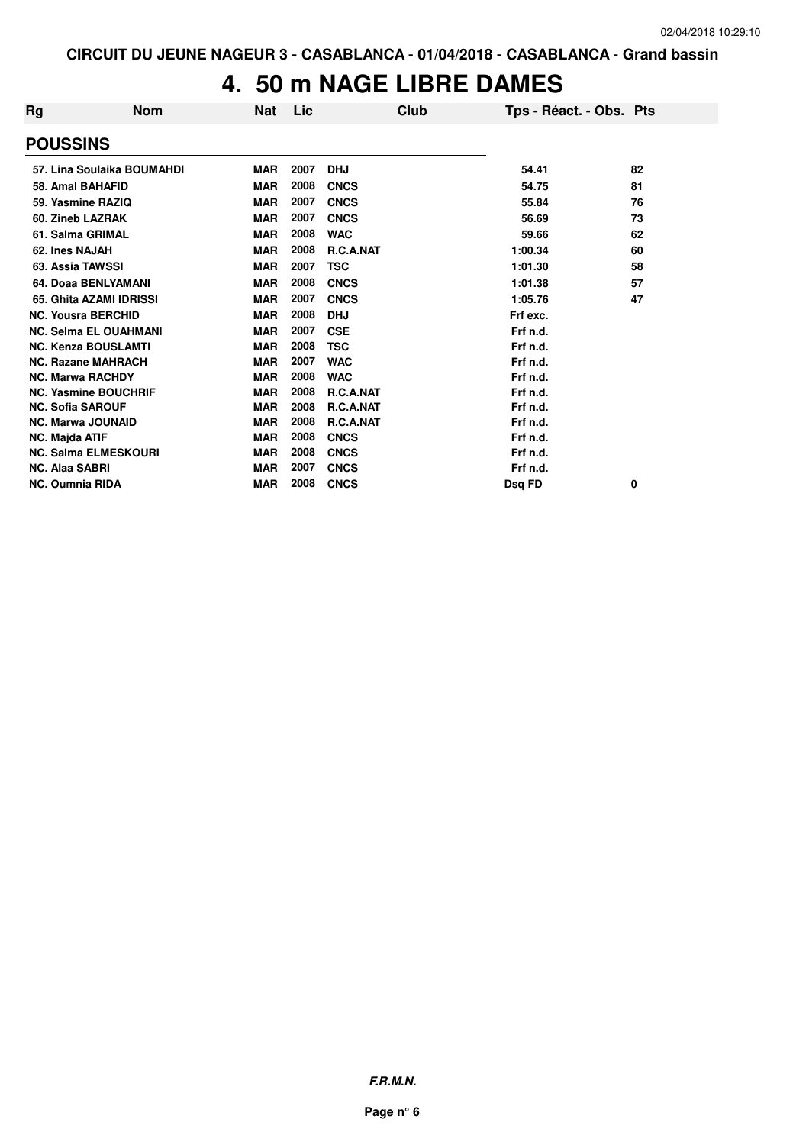#### **4. 50 m NAGE LIBRE DAMES**

| Rg | <b>Nom</b>                   | Nat        | Lic  | Club             | Tps - Réact. - Obs. Pts |    |
|----|------------------------------|------------|------|------------------|-------------------------|----|
|    | <b>POUSSINS</b>              |            |      |                  |                         |    |
|    | 57. Lina Soulaika BOUMAHDI   | <b>MAR</b> | 2007 | <b>DHJ</b>       | 54.41                   | 82 |
|    | 58. Amal BAHAFID             | <b>MAR</b> | 2008 | <b>CNCS</b>      | 54.75                   | 81 |
|    | 59. Yasmine RAZIQ            | <b>MAR</b> | 2007 | <b>CNCS</b>      | 55.84                   | 76 |
|    | 60. Zineb LAZRAK             | <b>MAR</b> | 2007 | <b>CNCS</b>      | 56.69                   | 73 |
|    | 61. Salma GRIMAL             | <b>MAR</b> | 2008 | <b>WAC</b>       | 59.66                   | 62 |
|    | 62. Ines NAJAH               | <b>MAR</b> | 2008 | R.C.A.NAT        | 1:00.34                 | 60 |
|    | 63. Assia TAWSSI             | <b>MAR</b> | 2007 | TSC              | 1:01.30                 | 58 |
|    | 64. Doaa BENLYAMANI          | <b>MAR</b> | 2008 | <b>CNCS</b>      | 1:01.38                 | 57 |
|    | 65. Ghita AZAMI IDRISSI      | <b>MAR</b> | 2007 | <b>CNCS</b>      | 1:05.76                 | 47 |
|    | <b>NC. Yousra BERCHID</b>    | <b>MAR</b> | 2008 | <b>DHJ</b>       | Frf exc.                |    |
|    | <b>NC. Selma EL OUAHMANI</b> | <b>MAR</b> | 2007 | <b>CSE</b>       | Frf n.d.                |    |
|    | <b>NC. Kenza BOUSLAMTI</b>   | <b>MAR</b> | 2008 | <b>TSC</b>       | Frf n.d.                |    |
|    | <b>NC. Razane MAHRACH</b>    | <b>MAR</b> | 2007 | <b>WAC</b>       | Frf n.d.                |    |
|    | <b>NC. Marwa RACHDY</b>      | <b>MAR</b> | 2008 | <b>WAC</b>       | Frf n.d.                |    |
|    | <b>NC. Yasmine BOUCHRIF</b>  | <b>MAR</b> | 2008 | <b>R.C.A.NAT</b> | Frf n.d.                |    |
|    | <b>NC. Sofia SAROUF</b>      | <b>MAR</b> | 2008 | <b>R.C.A.NAT</b> | Frf n.d.                |    |
|    | <b>NC. Marwa JOUNAID</b>     | <b>MAR</b> | 2008 | <b>R.C.A.NAT</b> | Frf n.d.                |    |
|    | <b>NC. Majda ATIF</b>        | <b>MAR</b> | 2008 | <b>CNCS</b>      | Frf n.d.                |    |
|    | <b>NC. Salma ELMESKOURI</b>  | <b>MAR</b> | 2008 | <b>CNCS</b>      | Frf n.d.                |    |
|    | <b>NC. Alaa SABRI</b>        | <b>MAR</b> | 2007 | <b>CNCS</b>      | Frf n.d.                |    |
|    | <b>NC. Oumnia RIDA</b>       | <b>MAR</b> | 2008 | <b>CNCS</b>      | Dsg FD                  | 0  |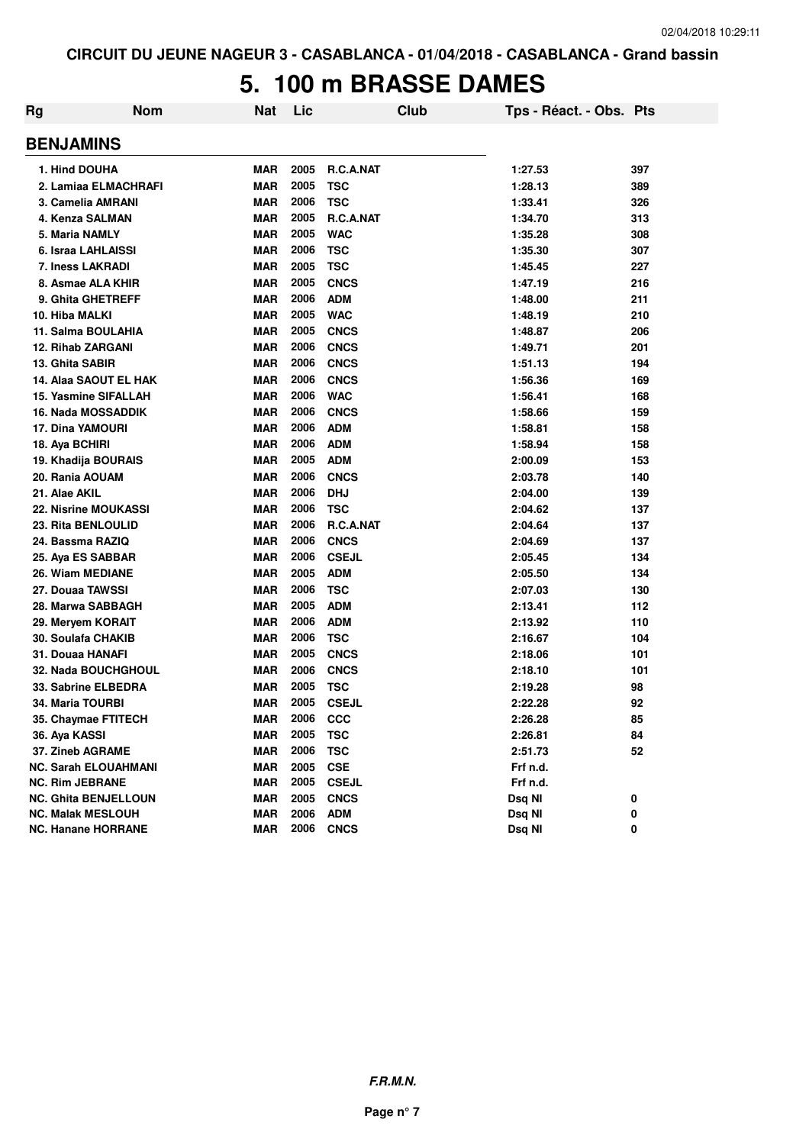#### **5. 100 m BRASSE DAMES**

| Rg | <b>Nom</b>                  | Nat        | Lic  | Club         | Tps - Réact. - Obs. Pts |     |
|----|-----------------------------|------------|------|--------------|-------------------------|-----|
|    | <b>BENJAMINS</b>            |            |      |              |                         |     |
|    | 1. Hind DOUHA               | <b>MAR</b> | 2005 | R.C.A.NAT    | 1:27.53                 | 397 |
|    | 2. Lamiaa ELMACHRAFI        | <b>MAR</b> | 2005 | <b>TSC</b>   | 1:28.13                 | 389 |
|    | 3. Camelia AMRANI           | <b>MAR</b> | 2006 | <b>TSC</b>   | 1:33.41                 | 326 |
|    | 4. Kenza SALMAN             | <b>MAR</b> | 2005 | R.C.A.NAT    | 1:34.70                 | 313 |
|    | 5. Maria NAMLY              | <b>MAR</b> | 2005 | <b>WAC</b>   | 1:35.28                 | 308 |
|    | 6. Israa LAHLAISSI          | <b>MAR</b> | 2006 | <b>TSC</b>   | 1:35.30                 | 307 |
|    | 7. Iness LAKRADI            | <b>MAR</b> | 2005 | <b>TSC</b>   | 1:45.45                 | 227 |
|    | 8. Asmae ALA KHIR           | <b>MAR</b> | 2005 | <b>CNCS</b>  | 1:47.19                 | 216 |
|    | 9. Ghita GHETREFF           | <b>MAR</b> | 2006 | <b>ADM</b>   | 1:48.00                 | 211 |
|    | 10. Hiba MALKI              | <b>MAR</b> | 2005 | <b>WAC</b>   | 1:48.19                 | 210 |
|    | 11. Salma BOULAHIA          | <b>MAR</b> | 2005 | <b>CNCS</b>  | 1:48.87                 | 206 |
|    | <b>12. Rihab ZARGANI</b>    | <b>MAR</b> | 2006 | <b>CNCS</b>  | 1:49.71                 | 201 |
|    | 13. Ghita SABIR             | <b>MAR</b> | 2006 | <b>CNCS</b>  | 1:51.13                 | 194 |
|    | 14. Alaa SAOUT EL HAK       | <b>MAR</b> | 2006 | <b>CNCS</b>  | 1:56.36                 | 169 |
|    | <b>15. Yasmine SIFALLAH</b> | <b>MAR</b> | 2006 | <b>WAC</b>   | 1:56.41                 | 168 |
|    | <b>16. Nada MOSSADDIK</b>   | <b>MAR</b> | 2006 | <b>CNCS</b>  | 1:58.66                 | 159 |
|    | <b>17. Dina YAMOURI</b>     | <b>MAR</b> | 2006 | <b>ADM</b>   | 1:58.81                 | 158 |
|    | 18. Aya BCHIRI              | MAR        | 2006 | <b>ADM</b>   | 1:58.94                 | 158 |
|    | 19. Khadija BOURAIS         | MAR        | 2005 | <b>ADM</b>   | 2:00.09                 | 153 |
|    | 20. Rania AOUAM             | <b>MAR</b> | 2006 | <b>CNCS</b>  | 2:03.78                 | 140 |
|    | 21. Alae AKIL               | <b>MAR</b> | 2006 | <b>DHJ</b>   | 2:04.00                 | 139 |
|    | <b>22. Nisrine MOUKASSI</b> | <b>MAR</b> | 2006 | <b>TSC</b>   | 2:04.62                 | 137 |
|    | 23. Rita BENLOULID          | <b>MAR</b> | 2006 | R.C.A.NAT    | 2:04.64                 | 137 |
|    | 24. Bassma RAZIQ            | <b>MAR</b> | 2006 | <b>CNCS</b>  | 2:04.69                 | 137 |
|    | 25. Aya ES SABBAR           | <b>MAR</b> | 2006 | <b>CSEJL</b> | 2:05.45                 | 134 |
|    | 26. Wiam MEDIANE            | <b>MAR</b> | 2005 | <b>ADM</b>   | 2:05.50                 | 134 |
|    | 27. Douaa TAWSSI            | <b>MAR</b> | 2006 | <b>TSC</b>   | 2:07.03                 | 130 |
|    | 28. Marwa SABBAGH           | <b>MAR</b> | 2005 | <b>ADM</b>   | 2:13.41                 | 112 |
|    | 29. Meryem KORAIT           | <b>MAR</b> | 2006 | <b>ADM</b>   | 2:13.92                 | 110 |
|    | <b>30. Soulafa CHAKIB</b>   | MAR        | 2006 | <b>TSC</b>   | 2:16.67                 | 104 |
|    | 31. Douaa HANAFI            | <b>MAR</b> | 2005 | <b>CNCS</b>  | 2:18.06                 | 101 |
|    | 32. Nada BOUCHGHOUL         | <b>MAR</b> | 2006 | <b>CNCS</b>  | 2:18.10                 | 101 |
|    | 33. Sabrine ELBEDRA         | <b>MAR</b> | 2005 | <b>TSC</b>   | 2:19.28                 | 98  |
|    | 34. Maria TOURBI            | <b>MAR</b> | 2005 | <b>CSEJL</b> | 2:22.28                 | 92  |
|    | 35. Chaymae FTITECH         | <b>MAR</b> | 2006 | <b>CCC</b>   | 2:26.28                 | 85  |
|    | 36. Aya KASSI               | <b>MAR</b> | 2005 | <b>TSC</b>   | 2:26.81                 | 84  |
|    | 37. Zineb AGRAME            | <b>MAR</b> | 2006 | <b>TSC</b>   | 2:51.73                 | 52  |
|    | <b>NC. Sarah ELOUAHMANI</b> | <b>MAR</b> | 2005 | <b>CSE</b>   | Frf n.d.                |     |
|    | <b>NC. Rim JEBRANE</b>      | <b>MAR</b> | 2005 | <b>CSEJL</b> | Frf n.d.                |     |
|    | <b>NC. Ghita BENJELLOUN</b> | <b>MAR</b> | 2005 | <b>CNCS</b>  | Dsq NI                  | 0   |
|    | <b>NC. Malak MESLOUH</b>    | <b>MAR</b> | 2006 | <b>ADM</b>   | Dsq NI                  | 0   |
|    | <b>NC. Hanane HORRANE</b>   | <b>MAR</b> | 2006 | <b>CNCS</b>  | Dsq NI                  | 0   |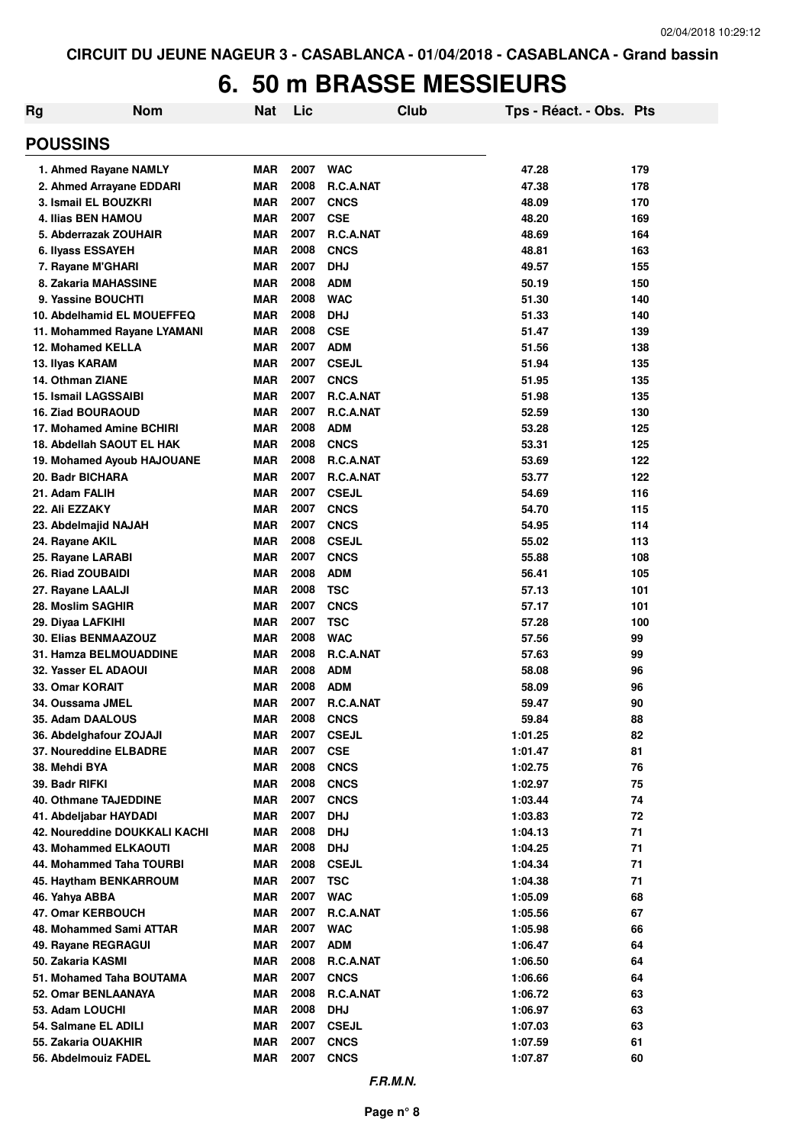## **6. 50 m BRASSE MESSIEURS**

| Rg<br><b>Nom</b>                                     | <b>Nat</b>               | Lic          |                          | Club | Tps - Réact. - Obs. Pts |            |
|------------------------------------------------------|--------------------------|--------------|--------------------------|------|-------------------------|------------|
| <b>POUSSINS</b>                                      |                          |              |                          |      |                         |            |
| 1. Ahmed Rayane NAMLY                                | <b>MAR</b>               | 2007         | <b>WAC</b>               |      | 47.28                   | 179        |
| 2. Ahmed Arrayane EDDARI                             | <b>MAR</b>               | 2008         | R.C.A.NAT                |      | 47.38                   | 178        |
| 3. Ismail EL BOUZKRI                                 | <b>MAR</b>               | 2007         | <b>CNCS</b>              |      | 48.09                   | 170        |
| <b>4. Ilias BEN HAMOU</b>                            | <b>MAR</b>               | 2007         | <b>CSE</b>               |      | 48.20                   | 169        |
| 5. Abderrazak ZOUHAIR                                | <b>MAR</b>               | 2007         | R.C.A.NAT                |      | 48.69                   | 164        |
| 6. Ilvass ESSAYEH                                    | <b>MAR</b>               | 2008         | <b>CNCS</b>              |      | 48.81                   | 163        |
| 7. Rayane M'GHARI                                    | <b>MAR</b>               | 2007         | <b>DHJ</b>               |      | 49.57                   | 155        |
| 8. Zakaria MAHASSINE                                 | <b>MAR</b>               | 2008         | <b>ADM</b>               |      | 50.19                   | 150        |
| 9. Yassine BOUCHTI                                   | <b>MAR</b>               | 2008         | <b>WAC</b>               |      | 51.30                   | 140        |
| 10. Abdelhamid EL MOUEFFEQ                           | <b>MAR</b>               | 2008         | <b>DHJ</b>               |      | 51.33                   | 140        |
| 11. Mohammed Rayane LYAMANI                          | <b>MAR</b>               | 2008         | <b>CSE</b>               |      | 51.47                   | 139        |
| 12. Mohamed KELLA                                    | <b>MAR</b>               | 2007         | <b>ADM</b>               |      | 51.56                   | 138        |
| 13. Ilyas KARAM                                      | <b>MAR</b>               | 2007         | <b>CSEJL</b>             |      | 51.94                   | 135        |
| 14. Othman ZIANE                                     | <b>MAR</b>               | 2007         | <b>CNCS</b>              |      | 51.95                   | 135        |
| 15. Ismail LAGSSAIBI                                 | <b>MAR</b>               | 2007<br>2007 | R.C.A.NAT                |      | 51.98                   | 135        |
| <b>16. Ziad BOURAOUD</b><br>17. Mohamed Amine BCHIRI | <b>MAR</b><br><b>MAR</b> | 2008         | R.C.A.NAT<br><b>ADM</b>  |      | 52.59<br>53.28          | 130<br>125 |
| 18. Abdellah SAOUT EL HAK                            | <b>MAR</b>               | 2008         | <b>CNCS</b>              |      | 53.31                   | 125        |
|                                                      | <b>MAR</b>               | 2008         | R.C.A.NAT                |      | 53.69                   | 122        |
| 19. Mohamed Ayoub HAJOUANE<br>20. Badr BICHARA       | <b>MAR</b>               | 2007         | R.C.A.NAT                |      | 53.77                   | 122        |
| 21. Adam FALIH                                       | <b>MAR</b>               | 2007         | <b>CSEJL</b>             |      | 54.69                   | 116        |
| 22. Ali EZZAKY                                       | <b>MAR</b>               | 2007         | <b>CNCS</b>              |      | 54.70                   | 115        |
| 23. Abdelmajid NAJAH                                 | <b>MAR</b>               | 2007         | <b>CNCS</b>              |      | 54.95                   | 114        |
| 24. Rayane AKIL                                      | <b>MAR</b>               | 2008         | <b>CSEJL</b>             |      | 55.02                   | 113        |
| 25. Rayane LARABI                                    | <b>MAR</b>               | 2007         | <b>CNCS</b>              |      | 55.88                   | 108        |
| <b>26. Riad ZOUBAIDI</b>                             | <b>MAR</b>               | 2008         | <b>ADM</b>               |      | 56.41                   | 105        |
| 27. Rayane LAALJI                                    | <b>MAR</b>               | 2008         | <b>TSC</b>               |      | 57.13                   | 101        |
| 28. Moslim SAGHIR                                    | <b>MAR</b>               | 2007         | <b>CNCS</b>              |      | 57.17                   | 101        |
| 29. Diyaa LAFKIHI                                    | <b>MAR</b>               | 2007         | <b>TSC</b>               |      | 57.28                   | 100        |
| 30. Elias BENMAAZOUZ                                 | <b>MAR</b>               | 2008         | <b>WAC</b>               |      | 57.56                   | 99         |
| 31. Hamza BELMOUADDINE                               | <b>MAR</b>               | 2008         | R.C.A.NAT                |      | 57.63                   | 99         |
| 32. Yasser EL ADAOUI                                 | MAR                      | 2008         | <b>ADM</b>               |      | 58.08                   | 96         |
| 33. Omar KORAIT                                      | MAR                      | 2008         | <b>ADM</b>               |      | 58.09                   | 96         |
| 34. Oussama JMEL                                     | <b>MAR</b>               | 2007         | <b>R.C.A.NAT</b>         |      | 59.47                   | 90         |
| 35. Adam DAALOUS                                     | MAR                      | 2008         | <b>CNCS</b>              |      | 59.84                   | 88         |
| 36. Abdelghafour ZOJAJI                              | MAR                      | 2007         | <b>CSEJL</b>             |      | 1:01.25                 | 82         |
| 37. Noureddine ELBADRE                               | <b>MAR</b>               | 2007         | <b>CSE</b>               |      | 1:01.47                 | 81         |
| 38. Mehdi BYA                                        | MAR                      | 2008         | <b>CNCS</b>              |      | 1:02.75                 | 76         |
| 39. Badr RIFKI                                       | <b>MAR</b>               | 2008         | <b>CNCS</b>              |      | 1:02.97                 | 75         |
| <b>40. Othmane TAJEDDINE</b>                         | <b>MAR</b>               | 2007         | <b>CNCS</b>              |      | 1:03.44                 | 74         |
| 41. Abdeljabar HAYDADI                               | <b>MAR</b>               | 2007         | <b>DHJ</b>               |      | 1:03.83                 | 72         |
| 42. Noureddine DOUKKALI KACHI                        | <b>MAR</b>               | 2008         | <b>DHJ</b>               |      | 1:04.13                 | 71         |
| 43. Mohammed ELKAOUTI                                | <b>MAR</b>               | 2008         | <b>DHJ</b>               |      | 1:04.25                 | 71         |
| 44. Mohammed Taha TOURBI                             | <b>MAR</b>               | 2008         | <b>CSEJL</b>             |      | 1:04.34                 | 71         |
| 45. Haytham BENKARROUM                               | <b>MAR</b>               | 2007         | <b>TSC</b>               |      | 1:04.38                 | 71         |
| 46. Yahya ABBA                                       | <b>MAR</b>               | 2007         | <b>WAC</b>               |      | 1:05.09                 | 68         |
| 47. Omar KERBOUCH                                    | <b>MAR</b>               | 2007         | R.C.A.NAT                |      | 1:05.56                 | 67         |
| 48. Mohammed Sami ATTAR                              | <b>MAR</b><br><b>MAR</b> | 2007<br>2007 | <b>WAC</b><br><b>ADM</b> |      | 1:05.98                 | 66<br>64   |
| 49. Rayane REGRAGUI<br>50. Zakaria KASMI             | <b>MAR</b>               | 2008         | R.C.A.NAT                |      | 1:06.47<br>1:06.50      | 64         |
| 51. Mohamed Taha BOUTAMA                             | <b>MAR</b>               | 2007         | <b>CNCS</b>              |      |                         | 64         |
| 52. Omar BENLAANAYA                                  | <b>MAR</b>               | 2008         | R.C.A.NAT                |      | 1:06.66<br>1:06.72      | 63         |
| 53. Adam LOUCHI                                      | <b>MAR</b>               | 2008         | <b>DHJ</b>               |      | 1:06.97                 | 63         |
| 54. Salmane EL ADILI                                 | <b>MAR</b>               | 2007         | <b>CSEJL</b>             |      | 1:07.03                 | 63         |
| 55. Zakaria OUAKHIR                                  | <b>MAR</b>               | 2007         | <b>CNCS</b>              |      | 1:07.59                 | 61         |
| 56. Abdelmouiz FADEL                                 | <b>MAR</b>               | 2007         | <b>CNCS</b>              |      | 1:07.87                 | 60         |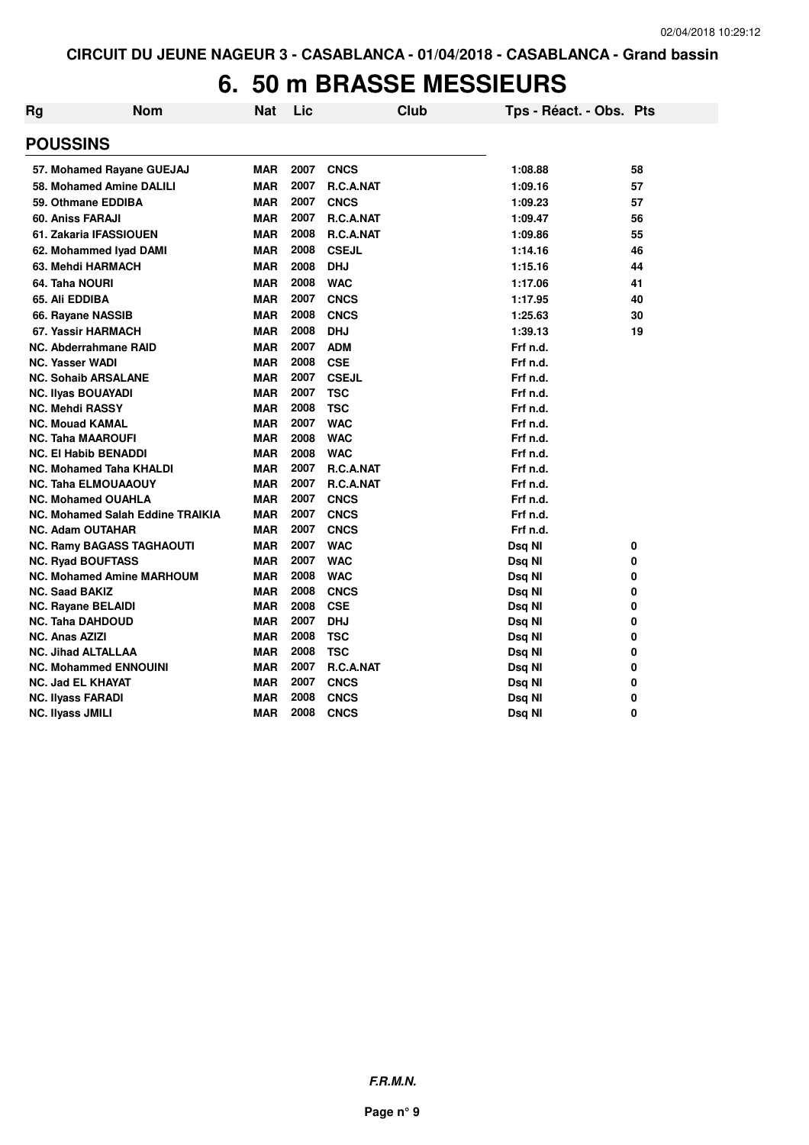#### **6. 50 m BRASSE MESSIEURS**

| Rg | <b>Nom</b>                       | <b>Nat</b> | Lic          | <b>Club</b>      | Tps - Réact. - Obs. Pts |    |
|----|----------------------------------|------------|--------------|------------------|-------------------------|----|
|    | <b>POUSSINS</b>                  |            |              |                  |                         |    |
|    | 57. Mohamed Rayane GUEJAJ        | <b>MAR</b> | 2007         | <b>CNCS</b>      | 1:08.88                 | 58 |
|    | 58. Mohamed Amine DALILI         | <b>MAR</b> | 2007         | R.C.A.NAT        | 1:09.16                 | 57 |
|    | 59. Othmane EDDIBA               | <b>MAR</b> | 2007         | <b>CNCS</b>      | 1:09.23                 | 57 |
|    | 60. Aniss FARAJI                 | <b>MAR</b> | 2007         | R.C.A.NAT        | 1:09.47                 | 56 |
|    | 61. Zakaria IFASSIOUEN           | <b>MAR</b> | 2008         | R.C.A.NAT        | 1:09.86                 | 55 |
|    | 62. Mohammed Iyad DAMI           | <b>MAR</b> | 2008         | <b>CSEJL</b>     | 1:14.16                 | 46 |
|    | 63. Mehdi HARMACH                | <b>MAR</b> | 2008         | <b>DHJ</b>       | 1:15.16                 | 44 |
|    | 64. Taha NOURI                   | <b>MAR</b> | 2008         | <b>WAC</b>       | 1:17.06                 | 41 |
|    | 65. Ali EDDIBA                   | <b>MAR</b> | 2007         | <b>CNCS</b>      | 1:17.95                 | 40 |
|    | 66. Rayane NASSIB                | <b>MAR</b> | 2008         | <b>CNCS</b>      | 1:25.63                 | 30 |
|    | 67. Yassir HARMACH               | <b>MAR</b> | 2008         | <b>DHJ</b>       | 1:39.13                 | 19 |
|    | <b>NC. Abderrahmane RAID</b>     | <b>MAR</b> | 2007         | <b>ADM</b>       | Frf n.d.                |    |
|    | <b>NC. Yasser WADI</b>           | <b>MAR</b> | 2008         | <b>CSE</b>       | Frf n.d.                |    |
|    | <b>NC. Sohaib ARSALANE</b>       | <b>MAR</b> | 2007         | <b>CSEJL</b>     | Frf n.d.                |    |
|    | <b>NC. Ilyas BOUAYADI</b>        | <b>MAR</b> | 2007         | <b>TSC</b>       | Frf n.d.                |    |
|    | <b>NC. Mehdi RASSY</b>           | <b>MAR</b> | 2008         | <b>TSC</b>       | Frf n.d.                |    |
|    | <b>NC. Mouad KAMAL</b>           | <b>MAR</b> | 2007         | <b>WAC</b>       | Frf n.d.                |    |
|    | <b>NC. Taha MAAROUFI</b>         | <b>MAR</b> | 2008         | <b>WAC</b>       | Frf n.d.                |    |
|    | <b>NC. El Habib BENADDI</b>      | <b>MAR</b> | 2008         | <b>WAC</b>       | Frf n.d.                |    |
|    | <b>NC. Mohamed Taha KHALDI</b>   | <b>MAR</b> | 2007         | R.C.A.NAT        | Frf n.d.                |    |
|    | <b>NC. Taha ELMOUAAOUY</b>       | <b>MAR</b> | 2007         | <b>R.C.A.NAT</b> | Frf n.d.                |    |
|    | <b>NC. Mohamed OUAHLA</b>        | <b>MAR</b> | 2007         | <b>CNCS</b>      | Frf n.d.                |    |
|    | NC. Mohamed Salah Eddine TRAIKIA | <b>MAR</b> | 2007         | <b>CNCS</b>      | Frf n.d.                |    |
|    | <b>NC. Adam OUTAHAR</b>          | <b>MAR</b> | 2007         | <b>CNCS</b>      | Frf n.d.                |    |
|    | <b>NC. Ramy BAGASS TAGHAOUTI</b> | <b>MAR</b> | 2007         | <b>WAC</b>       | Dsq NI                  | 0  |
|    | <b>NC. Ryad BOUFTASS</b>         | <b>MAR</b> | 2007         | <b>WAC</b>       | Dsq NI                  | 0  |
|    | <b>NC. Mohamed Amine MARHOUM</b> | <b>MAR</b> | 2008         | <b>WAC</b>       | Dsq NI                  | 0  |
|    | <b>NC. Saad BAKIZ</b>            | <b>MAR</b> | 2008         | <b>CNCS</b>      | Dsq NI                  | 0  |
|    | <b>NC. Rayane BELAIDI</b>        | <b>MAR</b> | 2008         | <b>CSE</b>       | Dsq NI                  | 0  |
|    | <b>NC. Taha DAHDOUD</b>          | <b>MAR</b> | 2007         | <b>DHJ</b>       | Dsq NI                  | 0  |
|    | <b>NC. Anas AZIZI</b>            | <b>MAR</b> | 2008         | <b>TSC</b>       | Dsq NI                  | 0  |
|    | <b>NC. Jihad ALTALLAA</b>        | <b>MAR</b> | 2008         | <b>TSC</b>       | Dsq NI                  | 0  |
|    | <b>NC. Mohammed ENNOUINI</b>     | <b>MAR</b> | 2007         | <b>R.C.A.NAT</b> | Dsq NI                  | 0  |
|    | <b>NC. Jad EL KHAYAT</b>         | <b>MAR</b> | 2007         | <b>CNCS</b>      | Dsq NI                  | 0  |
|    | <b>NC. Ilyass FARADI</b>         | <b>MAR</b> | 2008<br>2008 | <b>CNCS</b>      | Dsq NI                  | 0  |
|    | <b>NC. Ilyass JMILI</b>          | <b>MAR</b> |              | <b>CNCS</b>      | Dsq NI                  | 0  |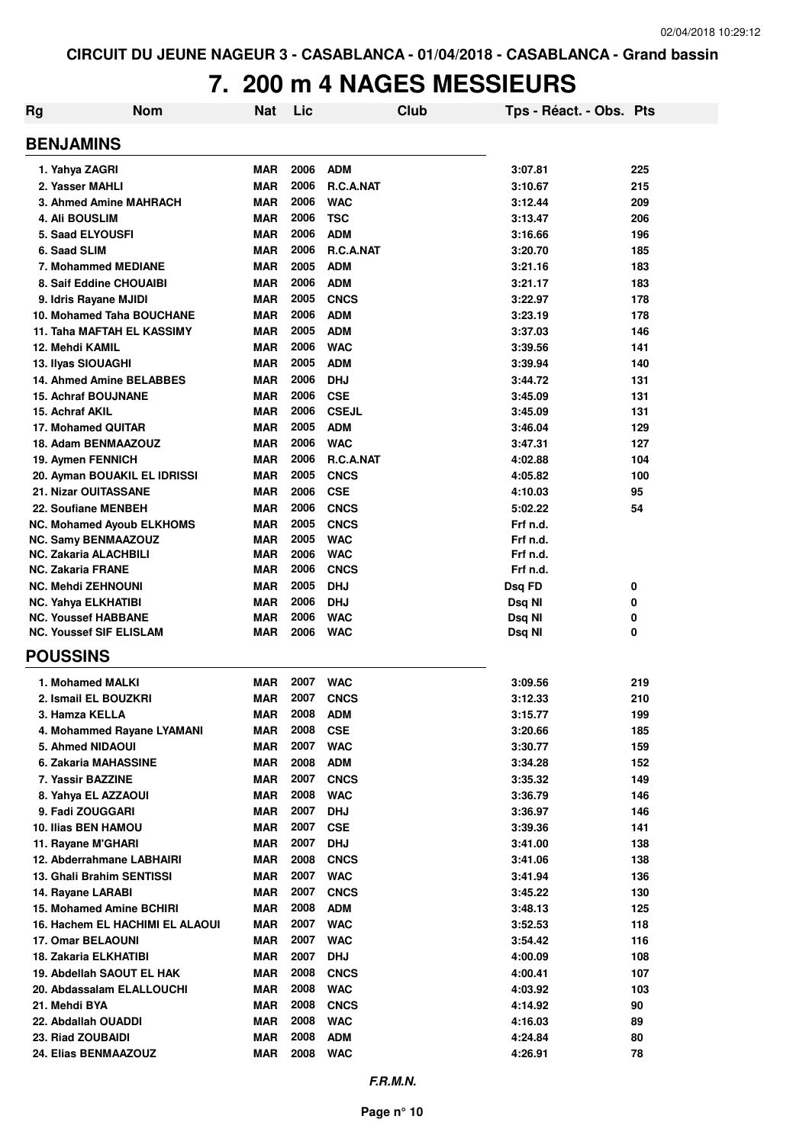# **7. 200 m 4 NAGES MESSIEURS**

| Rg                       | <b>Nom</b>                        | Nat        | Lic  |              | Club | Tps - Réact. - Obs. Pts |     |
|--------------------------|-----------------------------------|------------|------|--------------|------|-------------------------|-----|
| <b>BENJAMINS</b>         |                                   |            |      |              |      |                         |     |
| 1. Yahya ZAGRI           |                                   | <b>MAR</b> | 2006 | <b>ADM</b>   |      | 3:07.81                 | 225 |
|                          | 2. Yasser MAHLI                   | <b>MAR</b> | 2006 | R.C.A.NAT    |      | 3:10.67                 | 215 |
|                          | 3. Ahmed Amine MAHRACH            | <b>MAR</b> | 2006 | <b>WAC</b>   |      | 3:12.44                 | 209 |
| 4. Ali BOUSLIM           |                                   | <b>MAR</b> | 2006 | <b>TSC</b>   |      | 3:13.47                 | 206 |
|                          | <b>5. Saad ELYOUSFI</b>           | <b>MAR</b> | 2006 | <b>ADM</b>   |      | 3:16.66                 | 196 |
| 6. Saad SLIM             |                                   | <b>MAR</b> | 2006 | R.C.A.NAT    |      | 3:20.70                 | 185 |
|                          | 7. Mohammed MEDIANE               | <b>MAR</b> | 2005 | <b>ADM</b>   |      | 3:21.16                 | 183 |
|                          | 8. Saif Eddine CHOUAIBI           | <b>MAR</b> | 2006 | <b>ADM</b>   |      | 3:21.17                 | 183 |
|                          | 9. Idris Rayane MJIDI             | <b>MAR</b> | 2005 | <b>CNCS</b>  |      | 3:22.97                 | 178 |
|                          | 10. Mohamed Taha BOUCHANE         | <b>MAR</b> | 2006 | <b>ADM</b>   |      | 3:23.19                 | 178 |
|                          | <b>11. Taha MAFTAH EL KASSIMY</b> | <b>MAR</b> | 2005 | <b>ADM</b>   |      | 3:37.03                 | 146 |
| 12. Mehdi KAMIL          |                                   | <b>MAR</b> | 2006 | <b>WAC</b>   |      | 3:39.56                 | 141 |
|                          | 13. Ilyas SIOUAGHI                | <b>MAR</b> | 2005 | <b>ADM</b>   |      | 3:39.94                 | 140 |
|                          | 14. Ahmed Amine BELABBES          | <b>MAR</b> | 2006 | <b>DHJ</b>   |      | 3:44.72                 | 131 |
|                          | <b>15. Achraf BOUJNANE</b>        | <b>MAR</b> | 2006 | <b>CSE</b>   |      | 3:45.09                 | 131 |
| 15. Achraf AKIL          |                                   | <b>MAR</b> | 2006 | <b>CSEJL</b> |      | 3:45.09                 | 131 |
|                          | 17. Mohamed QUITAR                | <b>MAR</b> | 2005 | <b>ADM</b>   |      | 3:46.04                 | 129 |
|                          | 18. Adam BENMAAZOUZ               | <b>MAR</b> | 2006 | <b>WAC</b>   |      | 3:47.31                 | 127 |
|                          | 19. Aymen FENNICH                 | <b>MAR</b> | 2006 | R.C.A.NAT    |      | 4:02.88                 | 104 |
|                          | 20. Ayman BOUAKIL EL IDRISSI      | <b>MAR</b> | 2005 | <b>CNCS</b>  |      | 4:05.82                 | 100 |
|                          | 21. Nizar OUITASSANE              | <b>MAR</b> | 2006 | <b>CSE</b>   |      | 4:10.03                 | 95  |
|                          | 22. Soufiane MENBEH               | <b>MAR</b> | 2006 | <b>CNCS</b>  |      | 5:02.22                 | 54  |
|                          | <b>NC. Mohamed Ayoub ELKHOMS</b>  | <b>MAR</b> | 2005 | <b>CNCS</b>  |      | Frf n.d.                |     |
|                          | <b>NC. Samy BENMAAZOUZ</b>        | <b>MAR</b> | 2005 | <b>WAC</b>   |      | Frf n.d.                |     |
|                          | <b>NC. Zakaria ALACHBILI</b>      | <b>MAR</b> | 2006 | <b>WAC</b>   |      | Frf n.d.                |     |
| <b>NC. Zakaria FRANE</b> |                                   | <b>MAR</b> | 2006 | <b>CNCS</b>  |      | Frf n.d.                |     |
|                          | <b>NC. Mehdi ZEHNOUNI</b>         | <b>MAR</b> | 2005 | <b>DHJ</b>   |      | Dsq FD                  | 0   |
|                          | <b>NC. Yahya ELKHATIBI</b>        | <b>MAR</b> | 2006 | <b>DHJ</b>   |      | Dsq NI                  | 0   |
|                          | <b>NC. Youssef HABBANE</b>        | <b>MAR</b> | 2006 | <b>WAC</b>   |      | Dsq NI                  | 0   |
|                          | <b>NC. Youssef SIF ELISLAM</b>    | MAR        | 2006 | <b>WAC</b>   |      | Dsq NI                  | 0   |
| <b>POUSSINS</b>          |                                   |            |      |              |      |                         |     |
|                          | 1. Mohamed MALKI                  | <b>MAR</b> | 2007 | <b>WAC</b>   |      | 3:09.56                 | 219 |
|                          | 2. Ismail EL BOUZKRI              | <b>MAR</b> | 2007 | <b>CNCS</b>  |      | 3:12.33                 | 210 |
|                          | 3. Hamza KELLA                    | <b>MAR</b> | 2008 | <b>ADM</b>   |      | 3:15.77                 | 199 |
|                          | 4. Mohammed Rayane LYAMANI        | MAR        | 2008 | <b>CSE</b>   |      | 3:20.66                 | 185 |
|                          | 5. Ahmed NIDAOUI                  | <b>MAR</b> | 2007 | <b>WAC</b>   |      | 3:30.77                 | 159 |
|                          | 6. Zakaria MAHASSINE              | <b>MAR</b> | 2008 | <b>ADM</b>   |      | 3:34.28                 | 152 |
|                          | 7. Yassir BAZZINE                 | <b>MAR</b> | 2007 | <b>CNCS</b>  |      | 3:35.32                 | 149 |
|                          | 8. Yahya EL AZZAOUI               | <b>MAR</b> | 2008 | <b>WAC</b>   |      | 3:36.79                 | 146 |
|                          | 9. Fadi ZOUGGARI                  | <b>MAR</b> | 2007 | <b>DHJ</b>   |      | 3:36.97                 | 146 |
|                          | 10. Ilias BEN HAMOU               | MAR        | 2007 | <b>CSE</b>   |      | 3:39.36                 | 141 |
|                          | 11. Rayane M'GHARI                | <b>MAR</b> | 2007 | <b>DHJ</b>   |      | 3:41.00                 | 138 |
|                          | 12. Abderrahmane LABHAIRI         | <b>MAR</b> | 2008 | <b>CNCS</b>  |      | 3:41.06                 | 138 |
|                          | <b>13. Ghali Brahim SENTISSI</b>  | <b>MAR</b> | 2007 | <b>WAC</b>   |      | 3:41.94                 | 136 |
|                          | 14. Rayane LARABI                 | MAR        | 2007 | <b>CNCS</b>  |      | 3:45.22                 | 130 |
|                          | 15. Mohamed Amine BCHIRI          | <b>MAR</b> | 2008 | <b>ADM</b>   |      | 3:48.13                 | 125 |
|                          | 16. Hachem EL HACHIMI EL ALAOUI   | <b>MAR</b> | 2007 | <b>WAC</b>   |      | 3:52.53                 | 118 |
|                          | 17. Omar BELAOUNI                 | MAR        | 2007 | <b>WAC</b>   |      | 3:54.42                 | 116 |
|                          | 18. Zakaria ELKHATIBI             | <b>MAR</b> | 2007 | <b>DHJ</b>   |      | 4:00.09                 | 108 |
|                          | 19. Abdellah SAOUT EL HAK         | <b>MAR</b> | 2008 | <b>CNCS</b>  |      | 4:00.41                 | 107 |
|                          | 20. Abdassalam ELALLOUCHI         | <b>MAR</b> | 2008 | <b>WAC</b>   |      | 4:03.92                 | 103 |
| 21. Mehdi BYA            |                                   | MAR        | 2008 | <b>CNCS</b>  |      | 4:14.92                 | 90  |
|                          | 22. Abdallah OUADDI               | MAR        | 2008 | <b>WAC</b>   |      | 4:16.03                 | 89  |
|                          | 23. Riad ZOUBAIDI                 | <b>MAR</b> | 2008 | <b>ADM</b>   |      | 4:24.84                 | 80  |
|                          | 24. Elias BENMAAZOUZ              | <b>MAR</b> | 2008 | <b>WAC</b>   |      | 4:26.91                 | 78  |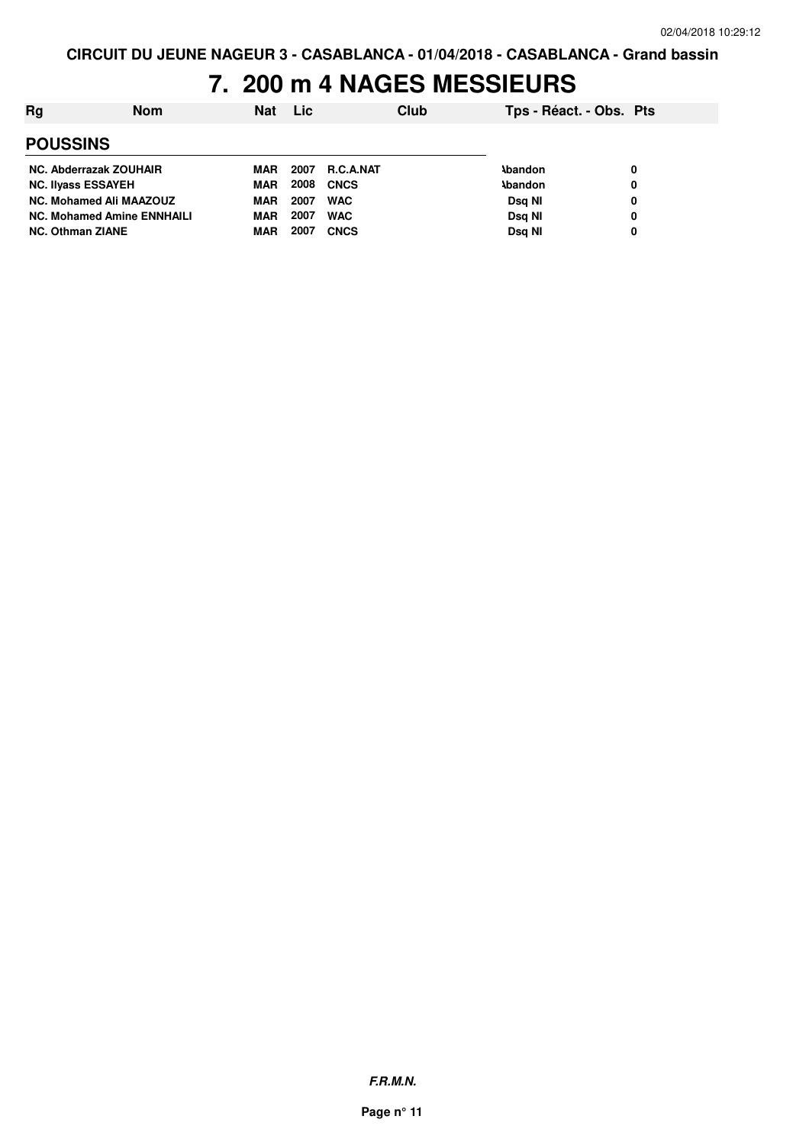### **7. 200 m 4 NAGES MESSIEURS**

| Rg                                | Nom | <b>Nat</b> | Lic  |                  | Club | Tps - Réact. - Obs. Pts |   |
|-----------------------------------|-----|------------|------|------------------|------|-------------------------|---|
| <b>POUSSINS</b>                   |     |            |      |                  |      |                         |   |
| NC. Abderrazak ZOUHAIR            |     | MAR        | 2007 | <b>R.C.A.NAT</b> |      | <b>\bandon</b>          | 0 |
| <b>NC. Ilvass ESSAYEH</b>         |     | <b>MAR</b> | 2008 | <b>CNCS</b>      |      | <b>\bandon</b>          | 0 |
| <b>NC. Mohamed Ali MAAZOUZ</b>    |     | <b>MAR</b> | 2007 | <b>WAC</b>       |      | Dsg NI                  | 0 |
| <b>NC. Mohamed Amine ENNHAILI</b> |     | <b>MAR</b> | 2007 | <b>WAC</b>       |      | Dsg NI                  | 0 |
| <b>NC. Othman ZIANE</b>           |     | <b>MAR</b> | 2007 | <b>CNCS</b>      |      | Dsa NI                  | 0 |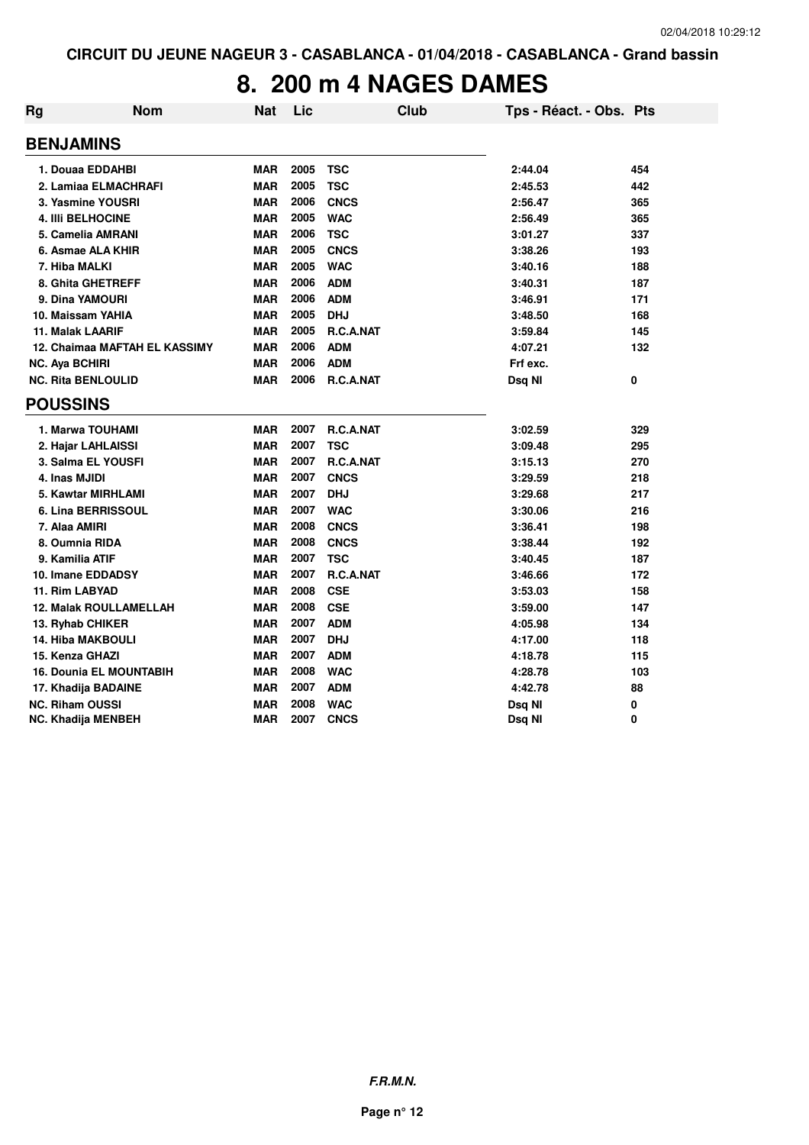### **8. 200 m 4 NAGES DAMES**

| Rg                    | <b>Nom</b>                     | <b>Nat</b> | Lic  | <b>Club</b>      | Tps - Réact. - Obs. Pts |     |
|-----------------------|--------------------------------|------------|------|------------------|-------------------------|-----|
|                       | <b>BENJAMINS</b>               |            |      |                  |                         |     |
|                       | 1. Douaa EDDAHBI               | <b>MAR</b> | 2005 | <b>TSC</b>       | 2:44.04                 | 454 |
|                       | 2. Lamiaa ELMACHRAFI           | <b>MAR</b> | 2005 | <b>TSC</b>       | 2:45.53                 | 442 |
|                       | 3. Yasmine YOUSRI              | <b>MAR</b> | 2006 | <b>CNCS</b>      | 2:56.47                 | 365 |
|                       | <b>4. IIII BELHOCINE</b>       | <b>MAR</b> | 2005 | <b>WAC</b>       | 2:56.49                 | 365 |
|                       | 5. Camelia AMRANI              | <b>MAR</b> | 2006 | <b>TSC</b>       | 3:01.27                 | 337 |
|                       | 6. Asmae ALA KHIR              | <b>MAR</b> | 2005 | <b>CNCS</b>      | 3:38.26                 | 193 |
|                       | 7. Hiba MALKI                  | <b>MAR</b> | 2005 | <b>WAC</b>       | 3:40.16                 | 188 |
|                       | 8. Ghita GHETREFF              | <b>MAR</b> | 2006 | <b>ADM</b>       | 3:40.31                 | 187 |
|                       | 9. Dina YAMOURI                | <b>MAR</b> | 2006 | <b>ADM</b>       | 3:46.91                 | 171 |
|                       | 10. Maissam YAHIA              | <b>MAR</b> | 2005 | <b>DHJ</b>       | 3:48.50                 | 168 |
|                       | <b>11. Malak LAARIF</b>        | <b>MAR</b> | 2005 | R.C.A.NAT        | 3:59.84                 | 145 |
|                       | 12. Chaimaa MAFTAH EL KASSIMY  | <b>MAR</b> | 2006 | <b>ADM</b>       | 4:07.21                 | 132 |
| <b>NC. Aya BCHIRI</b> |                                | <b>MAR</b> | 2006 | <b>ADM</b>       | Frf exc.                |     |
|                       | <b>NC. Rita BENLOULID</b>      | <b>MAR</b> | 2006 | R.C.A.NAT        | Dsq NI                  | 0   |
| <b>POUSSINS</b>       |                                |            |      |                  |                         |     |
|                       | 1. Marwa TOUHAMI               | <b>MAR</b> | 2007 | <b>R.C.A.NAT</b> | 3:02.59                 | 329 |
|                       | 2. Hajar LAHLAISSI             | <b>MAR</b> | 2007 | <b>TSC</b>       | 3:09.48                 | 295 |
|                       | 3. Salma EL YOUSFI             | <b>MAR</b> | 2007 | <b>R.C.A.NAT</b> | 3:15.13                 | 270 |
|                       | 4. Inas MJIDI                  | <b>MAR</b> | 2007 | <b>CNCS</b>      | 3:29.59                 | 218 |
|                       | 5. Kawtar MIRHLAMI             | <b>MAR</b> | 2007 | <b>DHJ</b>       | 3:29.68                 | 217 |
|                       | 6. Lina BERRISSOUL             | <b>MAR</b> | 2007 | <b>WAC</b>       | 3:30.06                 | 216 |
|                       | 7. Alaa AMIRI                  | <b>MAR</b> | 2008 | <b>CNCS</b>      | 3:36.41                 | 198 |
|                       | 8. Oumnia RIDA                 | <b>MAR</b> | 2008 | <b>CNCS</b>      | 3:38.44                 | 192 |
|                       | 9. Kamilia ATIF                | <b>MAR</b> | 2007 | <b>TSC</b>       | 3:40.45                 | 187 |
|                       | 10. Imane EDDADSY              | <b>MAR</b> | 2007 | R.C.A.NAT        | 3:46.66                 | 172 |
|                       | 11. Rim LABYAD                 | <b>MAR</b> | 2008 | <b>CSE</b>       | 3:53.03                 | 158 |
|                       | 12. Malak ROULLAMELLAH         | <b>MAR</b> | 2008 | <b>CSE</b>       | 3:59.00                 | 147 |
|                       | 13. Ryhab CHIKER               | <b>MAR</b> | 2007 | <b>ADM</b>       | 4:05.98                 | 134 |
|                       | <b>14. Hiba MAKBOULI</b>       | <b>MAR</b> | 2007 | <b>DHJ</b>       | 4:17.00                 | 118 |
|                       | 15. Kenza GHAZI                | <b>MAR</b> | 2007 | <b>ADM</b>       | 4:18.78                 | 115 |
|                       | <b>16. Dounia EL MOUNTABIH</b> | <b>MAR</b> | 2008 | <b>WAC</b>       | 4:28.78                 | 103 |
|                       | 17. Khadija BADAINE            | <b>MAR</b> | 2007 | <b>ADM</b>       | 4:42.78                 | 88  |
|                       | <b>NC. Riham OUSSI</b>         | <b>MAR</b> | 2008 | <b>WAC</b>       | Dsq NI                  | 0   |
|                       | NC. Khadija MENBEH             | <b>MAR</b> | 2007 | <b>CNCS</b>      | Dsq NI                  | 0   |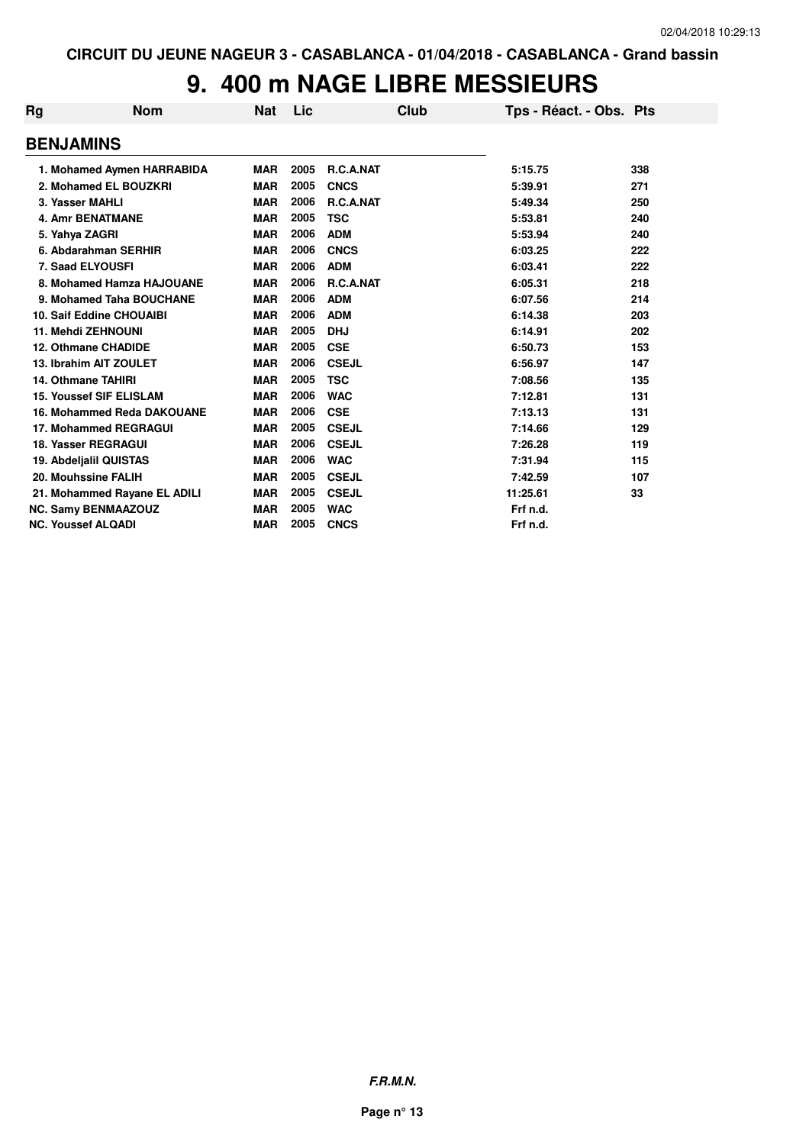## **9. 400 m NAGE LIBRE MESSIEURS**

| Rg               | <b>Nom</b>                      | Nat        | Lic  | Club         | Tps - Réact. - Obs. Pts |     |
|------------------|---------------------------------|------------|------|--------------|-------------------------|-----|
| <b>BENJAMINS</b> |                                 |            |      |              |                         |     |
|                  | 1. Mohamed Aymen HARRABIDA      | <b>MAR</b> | 2005 | R.C.A.NAT    | 5:15.75                 | 338 |
|                  | 2. Mohamed EL BOUZKRI           | <b>MAR</b> | 2005 | <b>CNCS</b>  | 5:39.91                 | 271 |
|                  | 3. Yasser MAHLI                 | <b>MAR</b> | 2006 | R.C.A.NAT    | 5:49.34                 | 250 |
|                  | <b>4. Amr BENATMANE</b>         | <b>MAR</b> | 2005 | <b>TSC</b>   | 5:53.81                 | 240 |
|                  | 5. Yahya ZAGRI                  | <b>MAR</b> | 2006 | <b>ADM</b>   | 5:53.94                 | 240 |
|                  | 6. Abdarahman SERHIR            | <b>MAR</b> | 2006 | <b>CNCS</b>  | 6:03.25                 | 222 |
|                  | 7. Saad ELYOUSFI                | <b>MAR</b> | 2006 | <b>ADM</b>   | 6:03.41                 | 222 |
|                  | 8. Mohamed Hamza HAJOUANE       | <b>MAR</b> | 2006 | R.C.A.NAT    | 6:05.31                 | 218 |
|                  | 9. Mohamed Taha BOUCHANE        | <b>MAR</b> | 2006 | <b>ADM</b>   | 6:07.56                 | 214 |
|                  | <b>10. Saif Eddine CHOUAIBI</b> | <b>MAR</b> | 2006 | <b>ADM</b>   | 6:14.38                 | 203 |
|                  | 11. Mehdi ZEHNOUNI              | <b>MAR</b> | 2005 | <b>DHJ</b>   | 6:14.91                 | 202 |
|                  | <b>12. Othmane CHADIDE</b>      | <b>MAR</b> | 2005 | <b>CSE</b>   | 6:50.73                 | 153 |
|                  | 13. Ibrahim AIT ZOULET          | <b>MAR</b> | 2006 | <b>CSEJL</b> | 6:56.97                 | 147 |
|                  | <b>14. Othmane TAHIRI</b>       | <b>MAR</b> | 2005 | <b>TSC</b>   | 7:08.56                 | 135 |
|                  | <b>15. Youssef SIF ELISLAM</b>  | <b>MAR</b> | 2006 | <b>WAC</b>   | 7:12.81                 | 131 |
|                  | 16. Mohammed Reda DAKOUANE      | <b>MAR</b> | 2006 | <b>CSE</b>   | 7:13.13                 | 131 |
|                  | 17. Mohammed REGRAGUI           | <b>MAR</b> | 2005 | <b>CSEJL</b> | 7:14.66                 | 129 |
|                  | <b>18. Yasser REGRAGUI</b>      | <b>MAR</b> | 2006 | <b>CSEJL</b> | 7:26.28                 | 119 |
|                  | 19. Abdelialil QUISTAS          | <b>MAR</b> | 2006 | <b>WAC</b>   | 7:31.94                 | 115 |
|                  | 20. Mouhssine FALIH             | <b>MAR</b> | 2005 | <b>CSEJL</b> | 7:42.59                 | 107 |
|                  | 21. Mohammed Rayane EL ADILI    | <b>MAR</b> | 2005 | <b>CSEJL</b> | 11:25.61                | 33  |
|                  | <b>NC. Samy BENMAAZOUZ</b>      | <b>MAR</b> | 2005 | <b>WAC</b>   | Frf n.d.                |     |
|                  | <b>NC. Youssef ALQADI</b>       | <b>MAR</b> | 2005 | <b>CNCS</b>  | Frf n.d.                |     |

**F.R.M.N.**

**Page n° 13**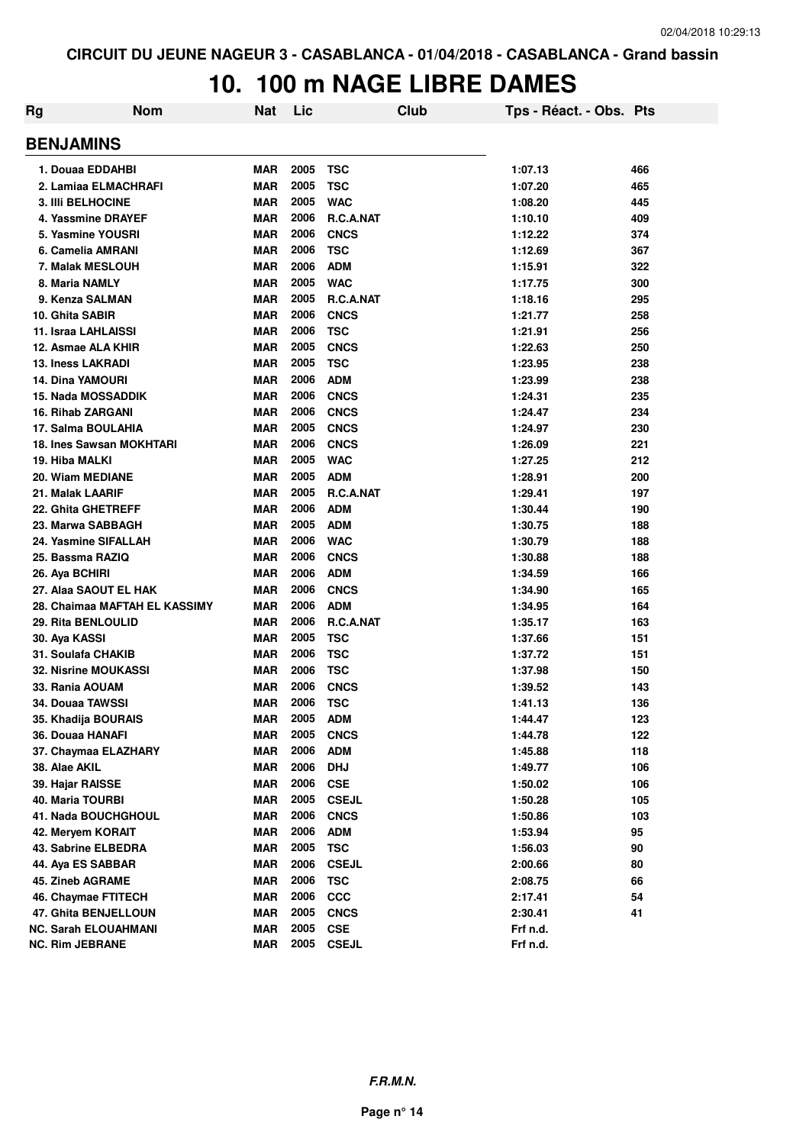## **10. 100 m NAGE LIBRE DAMES**

| Rg                          | <b>Nom</b>                    | <b>Nat</b> | Lic  |              | <b>Club</b> | Tps - Réact. - Obs. Pts |     |
|-----------------------------|-------------------------------|------------|------|--------------|-------------|-------------------------|-----|
| <b>BENJAMINS</b>            |                               |            |      |              |             |                         |     |
| 1. Douaa EDDAHBI            |                               | MAR        | 2005 | <b>TSC</b>   |             | 1:07.13                 | 466 |
| 2. Lamiaa ELMACHRAFI        |                               | <b>MAR</b> | 2005 | <b>TSC</b>   |             | 1:07.20                 | 465 |
| <b>3. IIII BELHOCINE</b>    |                               | <b>MAR</b> | 2005 | <b>WAC</b>   |             | 1:08.20                 | 445 |
| 4. Yassmine DRAYEF          |                               | <b>MAR</b> | 2006 | R.C.A.NAT    |             | 1:10.10                 | 409 |
| 5. Yasmine YOUSRI           |                               | <b>MAR</b> | 2006 | <b>CNCS</b>  |             | 1:12.22                 | 374 |
| 6. Camelia AMRANI           |                               | <b>MAR</b> | 2006 | <b>TSC</b>   |             | 1:12.69                 | 367 |
| 7. Malak MESLOUH            |                               | <b>MAR</b> | 2006 | <b>ADM</b>   |             | 1:15.91                 | 322 |
| 8. Maria NAMLY              |                               | <b>MAR</b> | 2005 | <b>WAC</b>   |             | 1:17.75                 | 300 |
| 9. Kenza SALMAN             |                               | <b>MAR</b> | 2005 | R.C.A.NAT    |             | 1:18.16                 | 295 |
| 10. Ghita SABIR             |                               | <b>MAR</b> | 2006 | <b>CNCS</b>  |             | 1:21.77                 | 258 |
| 11. Israa LAHLAISSI         |                               | <b>MAR</b> | 2006 | <b>TSC</b>   |             | 1:21.91                 | 256 |
| 12. Asmae ALA KHIR          |                               | <b>MAR</b> | 2005 | <b>CNCS</b>  |             | 1:22.63                 | 250 |
| <b>13. Iness LAKRADI</b>    |                               | <b>MAR</b> | 2005 | <b>TSC</b>   |             | 1:23.95                 | 238 |
| <b>14. Dina YAMOURI</b>     |                               | <b>MAR</b> | 2006 | <b>ADM</b>   |             | 1:23.99                 | 238 |
| <b>15. Nada MOSSADDIK</b>   |                               | <b>MAR</b> | 2006 | <b>CNCS</b>  |             | 1:24.31                 | 235 |
| <b>16. Rihab ZARGANI</b>    |                               | <b>MAR</b> | 2006 | <b>CNCS</b>  |             | 1:24.47                 | 234 |
| 17. Salma BOULAHIA          |                               | <b>MAR</b> | 2005 | <b>CNCS</b>  |             | 1:24.97                 | 230 |
| 18. Ines Sawsan MOKHTARI    |                               | <b>MAR</b> | 2006 | <b>CNCS</b>  |             | 1:26.09                 | 221 |
| 19. Hiba MALKI              |                               | <b>MAR</b> | 2005 | <b>WAC</b>   |             | 1:27.25                 | 212 |
| 20. Wiam MEDIANE            |                               | <b>MAR</b> | 2005 | <b>ADM</b>   |             | 1:28.91                 | 200 |
| 21. Malak LAARIF            |                               | <b>MAR</b> | 2005 | R.C.A.NAT    |             | 1:29.41                 | 197 |
| 22. Ghita GHETREFF          |                               | <b>MAR</b> | 2006 | <b>ADM</b>   |             | 1:30.44                 | 190 |
| 23. Marwa SABBAGH           |                               | <b>MAR</b> | 2005 | <b>ADM</b>   |             | 1:30.75                 | 188 |
| 24. Yasmine SIFALLAH        |                               | <b>MAR</b> | 2006 | <b>WAC</b>   |             | 1:30.79                 | 188 |
| 25. Bassma RAZIQ            |                               | <b>MAR</b> | 2006 | <b>CNCS</b>  |             | 1:30.88                 | 188 |
| 26. Aya BCHIRI              |                               | <b>MAR</b> | 2006 | <b>ADM</b>   |             | 1:34.59                 | 166 |
| 27. Alaa SAOUT EL HAK       |                               | <b>MAR</b> | 2006 | <b>CNCS</b>  |             | 1:34.90                 | 165 |
|                             | 28. Chaimaa MAFTAH EL KASSIMY | <b>MAR</b> | 2006 | <b>ADM</b>   |             | 1:34.95                 | 164 |
| 29. Rita BENLOULID          |                               | <b>MAR</b> | 2006 | R.C.A.NAT    |             | 1:35.17                 | 163 |
| 30. Aya KASSI               |                               | <b>MAR</b> | 2005 | <b>TSC</b>   |             | 1:37.66                 | 151 |
| 31. Soulafa CHAKIB          |                               | <b>MAR</b> | 2006 | <b>TSC</b>   |             | 1:37.72                 | 151 |
| <b>32. Nisrine MOUKASSI</b> |                               | <b>MAR</b> | 2006 | <b>TSC</b>   |             | 1:37.98                 | 150 |
| 33. Rania AOUAM             |                               | <b>MAR</b> | 2006 | <b>CNCS</b>  |             | 1:39.52                 | 143 |
| 34. Douaa TAWSSI            |                               | <b>MAR</b> | 2006 | <b>TSC</b>   |             | 1:41.13                 | 136 |
| 35. Khadija BOURAIS         |                               | <b>MAR</b> | 2005 | <b>ADM</b>   |             | 1:44.47                 | 123 |
| 36. Douaa HANAFI            |                               | <b>MAR</b> | 2005 | <b>CNCS</b>  |             | 1:44.78                 | 122 |
| 37. Chaymaa ELAZHARY        |                               | <b>MAR</b> | 2006 | <b>ADM</b>   |             | 1:45.88                 | 118 |
| 38. Alae AKIL               |                               | <b>MAR</b> | 2006 | <b>DHJ</b>   |             | 1:49.77                 | 106 |
| 39. Hajar RAISSE            |                               | <b>MAR</b> | 2006 | <b>CSE</b>   |             | 1:50.02                 | 106 |
| 40. Maria TOURBI            |                               | <b>MAR</b> | 2005 | <b>CSEJL</b> |             | 1:50.28                 | 105 |
| 41. Nada BOUCHGHOUL         |                               | <b>MAR</b> | 2006 | <b>CNCS</b>  |             | 1:50.86                 | 103 |
| 42. Meryem KORAIT           |                               | <b>MAR</b> | 2006 | <b>ADM</b>   |             | 1:53.94                 | 95  |
| 43. Sabrine ELBEDRA         |                               | <b>MAR</b> | 2005 | <b>TSC</b>   |             | 1:56.03                 | 90  |
| 44. Aya ES SABBAR           |                               | <b>MAR</b> | 2006 | <b>CSEJL</b> |             | 2:00.66                 | 80  |
| 45. Zineb AGRAME            |                               | <b>MAR</b> | 2006 | <b>TSC</b>   |             | 2:08.75                 | 66  |
| 46. Chaymae FTITECH         |                               | <b>MAR</b> | 2006 | $_{\rm ccc}$ |             | 2:17.41                 | 54  |
| 47. Ghita BENJELLOUN        |                               | <b>MAR</b> | 2005 | <b>CNCS</b>  |             | 2:30.41                 | 41  |
| <b>NC. Sarah ELOUAHMANI</b> |                               | <b>MAR</b> | 2005 | <b>CSE</b>   |             | Frf n.d.                |     |
| <b>NC. Rim JEBRANE</b>      |                               | <b>MAR</b> | 2005 | <b>CSEJL</b> |             | Frf n.d.                |     |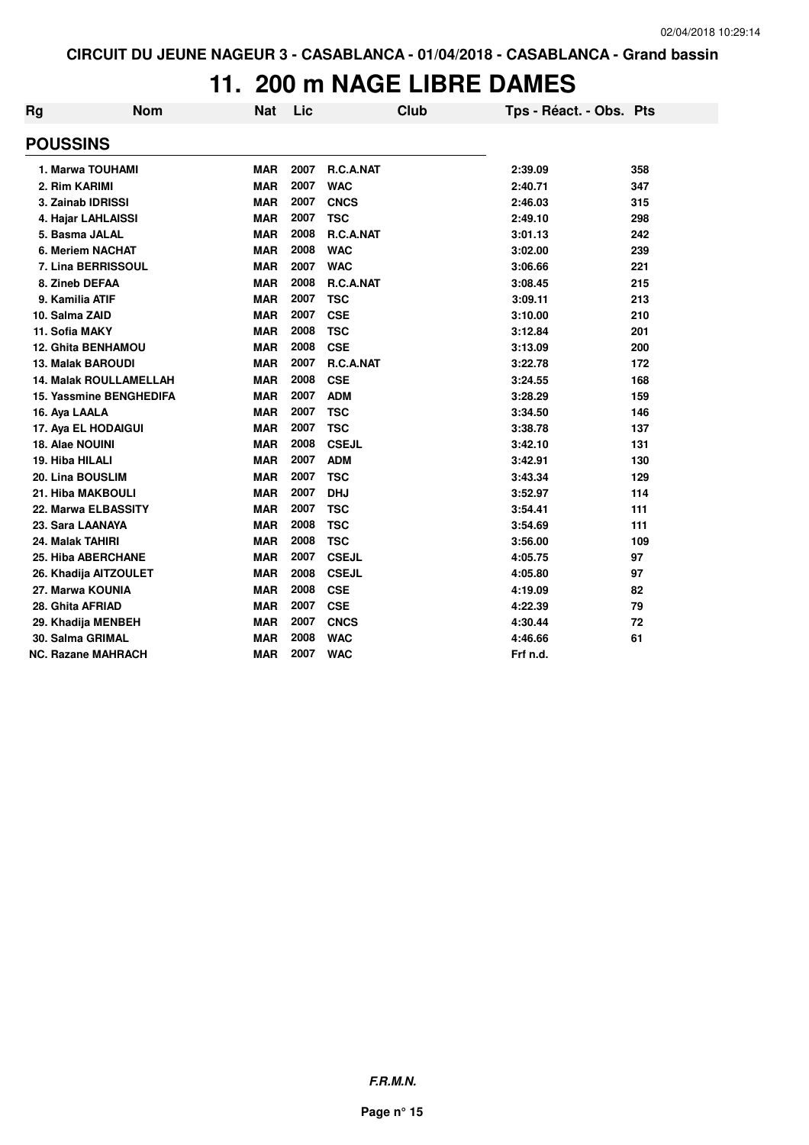## **11. 200 m NAGE LIBRE DAMES**

| Rg               | <b>Nom</b>                     | Nat        | Lic  | Club         | Tps - Réact. - Obs. Pts |     |
|------------------|--------------------------------|------------|------|--------------|-------------------------|-----|
| <b>POUSSINS</b>  |                                |            |      |              |                         |     |
|                  | 1. Marwa TOUHAMI               | <b>MAR</b> | 2007 | R.C.A.NAT    | 2:39.09                 | 358 |
| 2. Rim KARIMI    |                                | <b>MAR</b> | 2007 | <b>WAC</b>   | 2:40.71                 | 347 |
|                  | 3. Zainab IDRISSI              | <b>MAR</b> | 2007 | <b>CNCS</b>  | 2:46.03                 | 315 |
|                  | 4. Hajar LAHLAISSI             | <b>MAR</b> | 2007 | <b>TSC</b>   | 2:49.10                 | 298 |
| 5. Basma JALAL   |                                | <b>MAR</b> | 2008 | R.C.A.NAT    | 3:01.13                 | 242 |
|                  | 6. Meriem NACHAT               | <b>MAR</b> | 2008 | <b>WAC</b>   | 3:02.00                 | 239 |
|                  | 7. Lina BERRISSOUL             | <b>MAR</b> | 2007 | <b>WAC</b>   | 3:06.66                 | 221 |
| 8. Zineb DEFAA   |                                | <b>MAR</b> | 2008 | R.C.A.NAT    | 3:08.45                 | 215 |
| 9. Kamilia ATIF  |                                | <b>MAR</b> | 2007 | <b>TSC</b>   | 3:09.11                 | 213 |
| 10. Salma ZAID   |                                | <b>MAR</b> | 2007 | <b>CSE</b>   | 3:10.00                 | 210 |
| 11. Sofia MAKY   |                                | <b>MAR</b> | 2008 | <b>TSC</b>   | 3:12.84                 | 201 |
|                  | <b>12. Ghita BENHAMOU</b>      | <b>MAR</b> | 2008 | <b>CSE</b>   | 3:13.09                 | 200 |
|                  | <b>13. Malak BAROUDI</b>       | <b>MAR</b> | 2007 | R.C.A.NAT    | 3:22.78                 | 172 |
|                  | <b>14. Malak ROULLAMELLAH</b>  | <b>MAR</b> | 2008 | <b>CSE</b>   | 3:24.55                 | 168 |
|                  | <b>15. Yassmine BENGHEDIFA</b> | <b>MAR</b> | 2007 | <b>ADM</b>   | 3:28.29                 | 159 |
| 16. Aya LAALA    |                                | <b>MAR</b> | 2007 | <b>TSC</b>   | 3:34.50                 | 146 |
|                  | 17. Aya EL HODAIGUI            | <b>MAR</b> | 2007 | <b>TSC</b>   | 3:38.78                 | 137 |
| 18. Alae NOUINI  |                                | <b>MAR</b> | 2008 | <b>CSEJL</b> | 3:42.10                 | 131 |
| 19. Hiba HILALI  |                                | <b>MAR</b> | 2007 | <b>ADM</b>   | 3:42.91                 | 130 |
| 20. Lina BOUSLIM |                                | <b>MAR</b> | 2007 | <b>TSC</b>   | 3:43.34                 | 129 |
|                  | 21. Hiba MAKBOULI              | <b>MAR</b> | 2007 | <b>DHJ</b>   | 3:52.97                 | 114 |
|                  | 22. Marwa ELBASSITY            | <b>MAR</b> | 2007 | <b>TSC</b>   | 3:54.41                 | 111 |
| 23. Sara LAANAYA |                                | <b>MAR</b> | 2008 | <b>TSC</b>   | 3:54.69                 | 111 |
| 24. Malak TAHIRI |                                | <b>MAR</b> | 2008 | <b>TSC</b>   | 3:56.00                 | 109 |
|                  | <b>25. Hiba ABERCHANE</b>      | <b>MAR</b> | 2007 | <b>CSEJL</b> | 4:05.75                 | 97  |
|                  | 26. Khadija AITZOULET          | <b>MAR</b> | 2008 | <b>CSEJL</b> | 4:05.80                 | 97  |
|                  | 27. Marwa KOUNIA               | <b>MAR</b> | 2008 | <b>CSE</b>   | 4:19.09                 | 82  |
| 28. Ghita AFRIAD |                                | <b>MAR</b> | 2007 | <b>CSE</b>   | 4:22.39                 | 79  |
|                  | 29. Khadija MENBEH             | <b>MAR</b> | 2007 | <b>CNCS</b>  | 4:30.44                 | 72  |
| 30. Salma GRIMAL |                                | <b>MAR</b> | 2008 | <b>WAC</b>   | 4:46.66                 | 61  |
|                  | NC. Razane MAHRACH             | <b>MAR</b> | 2007 | <b>WAC</b>   | Frf n.d.                |     |

**F.R.M.N.**

**Page n° 15**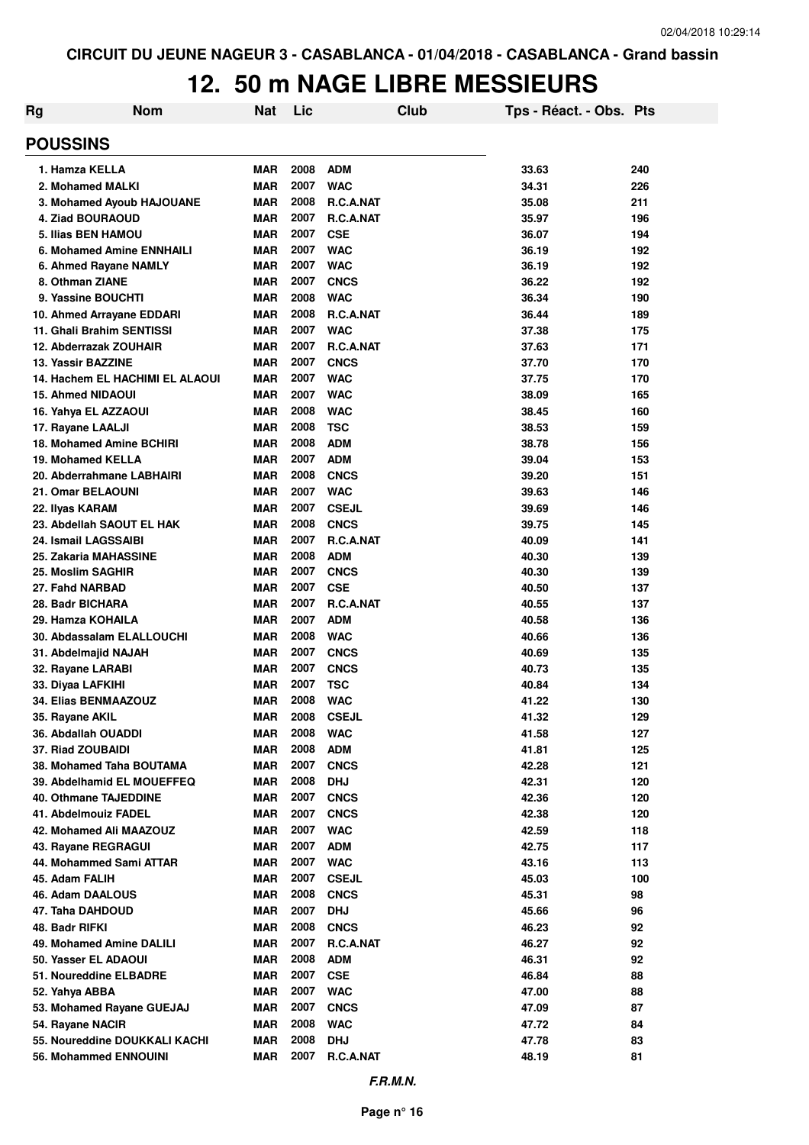# **12. 50 m NAGE LIBRE MESSIEURS**

| Rg                                                | <b>Nom</b>                      | <b>Nat</b>               | Lic          |                           | Club | Tps - Réact. - Obs. Pts |           |
|---------------------------------------------------|---------------------------------|--------------------------|--------------|---------------------------|------|-------------------------|-----------|
| <b>POUSSINS</b>                                   |                                 |                          |              |                           |      |                         |           |
| 1. Hamza KELLA                                    |                                 | <b>MAR</b>               | 2008         | <b>ADM</b>                |      | 33.63                   | 240       |
| 2. Mohamed MALKI                                  |                                 | <b>MAR</b>               | 2007         | <b>WAC</b>                |      | 34.31                   | 226       |
| 3. Mohamed Ayoub HAJOUANE                         |                                 | <b>MAR</b>               | 2008         | R.C.A.NAT                 |      | 35.08                   | 211       |
| 4. Ziad BOURAOUD                                  |                                 | <b>MAR</b>               | 2007         | R.C.A.NAT                 |      | 35.97                   | 196       |
| 5. Ilias BEN HAMOU                                |                                 | <b>MAR</b>               | 2007         | <b>CSE</b>                |      | 36.07                   | 194       |
| 6. Mohamed Amine ENNHAILI                         |                                 | <b>MAR</b>               | 2007         | <b>WAC</b>                |      | 36.19                   | 192       |
| 6. Ahmed Rayane NAMLY                             |                                 | MAR                      | 2007         | <b>WAC</b>                |      | 36.19                   | 192       |
| 8. Othman ZIANE                                   |                                 | MAR                      | 2007         | <b>CNCS</b>               |      | 36.22                   | 192       |
| 9. Yassine BOUCHTI                                |                                 | MAR                      | 2008         | <b>WAC</b>                |      | 36.34                   | 190       |
| 10. Ahmed Arrayane EDDARI                         |                                 | MAR                      | 2008         | R.C.A.NAT                 |      | 36.44                   | 189       |
| 11. Ghali Brahim SENTISSI                         |                                 | MAR                      | 2007         | <b>WAC</b>                |      | 37.38                   | 175       |
| 12. Abderrazak ZOUHAIR                            |                                 | MAR                      | 2007         | R.C.A.NAT                 |      | 37.63                   | 171       |
| 13. Yassir BAZZINE                                |                                 | <b>MAR</b>               | 2007         | <b>CNCS</b>               |      | 37.70                   | 170       |
|                                                   | 14. Hachem EL HACHIMI EL ALAOUI | MAR                      | 2007         | <b>WAC</b>                |      | 37.75                   | 170       |
| <b>15. Ahmed NIDAOUI</b>                          |                                 | <b>MAR</b>               | 2007         | <b>WAC</b>                |      | 38.09                   | 165       |
| 16. Yahya EL AZZAOUI                              |                                 | MAR                      | 2008         | <b>WAC</b>                |      | 38.45                   | 160       |
| 17. Rayane LAALJI                                 |                                 | <b>MAR</b>               | 2008         | <b>TSC</b>                |      | 38.53                   | 159       |
| 18. Mohamed Amine BCHIRI                          |                                 | MAR                      | 2008         | <b>ADM</b>                |      | 38.78                   | 156       |
| 19. Mohamed KELLA                                 |                                 | <b>MAR</b>               | 2007         | <b>ADM</b>                |      | 39.04                   | 153       |
| 20. Abderrahmane LABHAIRI                         |                                 | <b>MAR</b>               | 2008         | <b>CNCS</b>               |      | 39.20                   | 151       |
| 21. Omar BELAOUNI                                 |                                 | <b>MAR</b>               | 2007         | <b>WAC</b>                |      | 39.63                   | 146       |
| 22. Ilyas KARAM                                   |                                 | <b>MAR</b>               | 2007         | <b>CSEJL</b>              |      | 39.69                   | 146       |
| 23. Abdellah SAOUT EL HAK                         |                                 | <b>MAR</b>               | 2008         | <b>CNCS</b>               |      | 39.75                   | 145       |
| 24. Ismail LAGSSAIBI                              |                                 | <b>MAR</b>               | 2007         | R.C.A.NAT                 |      | 40.09                   | 141       |
| 25. Zakaria MAHASSINE                             |                                 | <b>MAR</b>               | 2008         | <b>ADM</b>                |      | 40.30                   | 139       |
| 25. Moslim SAGHIR                                 |                                 | <b>MAR</b>               | 2007         | <b>CNCS</b>               |      | 40.30                   | 139       |
| 27. Fahd NARBAD                                   |                                 | <b>MAR</b>               | 2007         | <b>CSE</b>                |      | 40.50                   | 137       |
| 28. Badr BICHARA                                  |                                 | <b>MAR</b>               | 2007         | R.C.A.NAT                 |      | 40.55                   | 137       |
| 29. Hamza KOHAILA                                 |                                 | <b>MAR</b>               | 2007         | <b>ADM</b>                |      | 40.58                   | 136       |
| 30. Abdassalam ELALLOUCHI                         |                                 | <b>MAR</b>               | 2008         | <b>WAC</b>                |      | 40.66                   | 136       |
| 31. Abdelmajid NAJAH                              |                                 | <b>MAR</b>               | 2007         | <b>CNCS</b>               |      | 40.69                   | 135       |
| 32. Rayane LARABI                                 |                                 | <b>MAR</b>               | 2007         | <b>CNCS</b>               |      | 40.73                   | 135       |
| 33. Diyaa LAFKIHI                                 |                                 | MAR                      | 2007         | <b>TSC</b>                |      | 40.84                   | 134       |
| 34. Elias BENMAAZOUZ                              |                                 | MAR                      | 2008         | <b>WAC</b>                |      | 41.22                   | 130       |
| 35. Rayane AKIL                                   |                                 | MAR                      | 2008         | <b>CSEJL</b>              |      | 41.32                   | 129       |
| 36. Abdallah OUADDI                               |                                 | <b>MAR</b>               | 2008         | <b>WAC</b>                |      | 41.58                   | 127       |
| 37. Riad ZOUBAIDI                                 |                                 | <b>MAR</b>               | 2008         | <b>ADM</b>                |      | 41.81                   | 125       |
| 38. Mohamed Taha BOUTAMA                          |                                 | <b>MAR</b>               | 2007<br>2008 | <b>CNCS</b>               |      | 42.28                   | 121       |
| 39. Abdelhamid EL MOUEFFEQ                        |                                 | <b>MAR</b>               |              | <b>DHJ</b>                |      | 42.31                   | 120       |
| <b>40. Othmane TAJEDDINE</b>                      |                                 | <b>MAR</b>               | 2007         | <b>CNCS</b>               |      | 42.36                   | 120       |
| 41. Abdelmouiz FADEL                              |                                 | <b>MAR</b>               | 2007<br>2007 | <b>CNCS</b>               |      | 42.38                   | 120       |
| 42. Mohamed Ali MAAZOUZ                           |                                 | <b>MAR</b>               | 2007         | <b>WAC</b><br><b>ADM</b>  |      | 42.59                   | 118       |
| 43. Rayane REGRAGUI                               |                                 | <b>MAR</b>               | 2007         |                           |      | 42.75                   | 117       |
| 44. Mohammed Sami ATTAR                           |                                 | <b>MAR</b>               | 2007         | <b>WAC</b>                |      | 43.16                   | 113       |
| 45. Adam FALIH                                    |                                 | <b>MAR</b><br><b>MAR</b> | 2008         | <b>CSEJL</b>              |      | 45.03<br>45.31          | 100<br>98 |
| 46. Adam DAALOUS<br>47. Taha DAHDOUD              |                                 | <b>MAR</b>               | 2007         | <b>CNCS</b><br><b>DHJ</b> |      | 45.66                   | 96        |
| 48. Badr RIFKI                                    |                                 | <b>MAR</b>               | 2008         | <b>CNCS</b>               |      | 46.23                   | 92        |
| 49. Mohamed Amine DALILI                          |                                 | <b>MAR</b>               | 2007         | R.C.A.NAT                 |      | 46.27                   | 92        |
| 50. Yasser EL ADAOUI                              |                                 | <b>MAR</b>               | 2008         | <b>ADM</b>                |      | 46.31                   | 92        |
| 51. Noureddine ELBADRE                            |                                 | <b>MAR</b>               | 2007         |                           |      | 46.84                   |           |
|                                                   |                                 | <b>MAR</b>               | 2007         | <b>CSE</b><br><b>WAC</b>  |      | 47.00                   | 88        |
| 52. Yahya ABBA<br>53. Mohamed Rayane GUEJAJ       |                                 |                          | 2007         |                           |      | 47.09                   | 88<br>87  |
|                                                   |                                 | MAR<br><b>MAR</b>        | 2008         | <b>CNCS</b><br><b>WAC</b> |      | 47.72                   |           |
| 54. Rayane NACIR<br>55. Noureddine DOUKKALI KACHI |                                 | <b>MAR</b>               | 2008         | <b>DHJ</b>                |      | 47.78                   | 84<br>83  |
| 56. Mohammed ENNOUINI                             |                                 |                          | 2007         | R.C.A.NAT                 |      | 48.19                   | 81        |
|                                                   |                                 | MAR                      |              |                           |      |                         |           |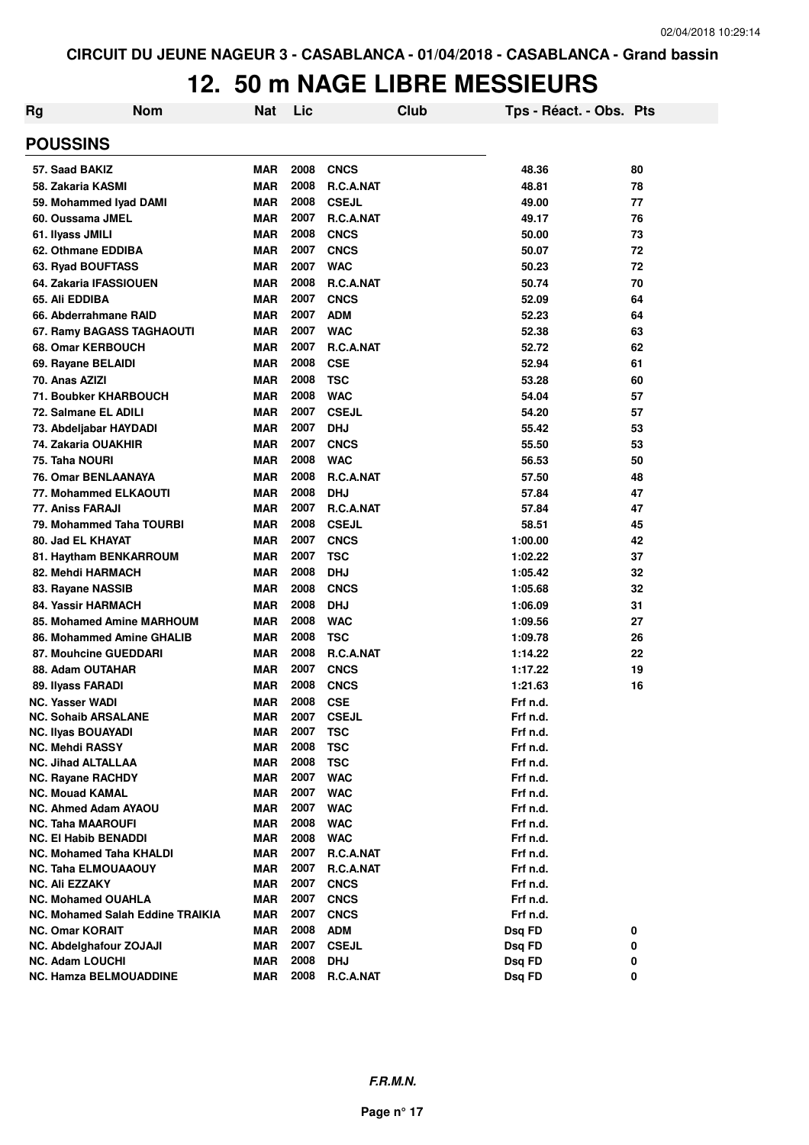# **12. 50 m NAGE LIBRE MESSIEURS**

| Rg              | <b>Nom</b>                                              | <b>Nat</b>               | Lic          | <b>Club</b>                | Tps - Réact. - Obs. Pts |          |
|-----------------|---------------------------------------------------------|--------------------------|--------------|----------------------------|-------------------------|----------|
| <b>POUSSINS</b> |                                                         |                          |              |                            |                         |          |
|                 | 57. Saad BAKIZ                                          | <b>MAR</b>               | 2008         | <b>CNCS</b>                | 48.36                   | 80       |
|                 | 58. Zakaria KASMI                                       | <b>MAR</b>               | 2008         | R.C.A.NAT                  | 48.81                   | 78       |
|                 | 59. Mohammed Iyad DAMI                                  | <b>MAR</b>               | 2008         | <b>CSEJL</b>               | 49.00                   | 77       |
|                 | 60. Oussama JMEL                                        | <b>MAR</b>               | 2007         | R.C.A.NAT                  | 49.17                   | 76       |
|                 | 61. Ilyass JMILI                                        | <b>MAR</b>               | 2008         | <b>CNCS</b>                | 50.00                   | 73       |
|                 | 62. Othmane EDDIBA                                      | <b>MAR</b>               | 2007         | <b>CNCS</b>                | 50.07                   | 72       |
|                 | 63. Ryad BOUFTASS                                       | <b>MAR</b>               | 2007         | <b>WAC</b>                 | 50.23                   | 72       |
|                 | 64. Zakaria IFASSIOUEN                                  | <b>MAR</b>               | 2008         | R.C.A.NAT                  | 50.74                   | 70       |
|                 | 65. Ali EDDIBA                                          | <b>MAR</b>               | 2007         | <b>CNCS</b>                | 52.09                   | 64       |
|                 | 66. Abderrahmane RAID                                   | <b>MAR</b>               | 2007         | <b>ADM</b>                 | 52.23                   | 64       |
|                 | 67. Ramy BAGASS TAGHAOUTI                               | <b>MAR</b>               | 2007         | <b>WAC</b>                 | 52.38                   | 63       |
|                 | 68. Omar KERBOUCH                                       | <b>MAR</b>               | 2007         | R.C.A.NAT                  | 52.72                   | 62       |
|                 | 69. Rayane BELAIDI                                      | <b>MAR</b>               | 2008         | <b>CSE</b>                 | 52.94                   | 61       |
|                 | 70. Anas AZIZI                                          | <b>MAR</b>               | 2008         | <b>TSC</b>                 | 53.28                   | 60       |
|                 | 71. Boubker KHARBOUCH                                   | <b>MAR</b>               | 2008         | <b>WAC</b>                 | 54.04                   | 57       |
|                 | 72. Salmane EL ADILI                                    | <b>MAR</b>               | 2007         | <b>CSEJL</b>               | 54.20                   | 57       |
|                 | 73. Abdeljabar HAYDADI                                  | <b>MAR</b>               | 2007         | <b>DHJ</b>                 | 55.42                   | 53       |
|                 | 74. Zakaria OUAKHIR                                     | <b>MAR</b>               | 2007         | <b>CNCS</b>                | 55.50                   | 53       |
|                 | 75. Taha NOURI                                          | <b>MAR</b>               | 2008         | <b>WAC</b>                 | 56.53                   | 50       |
|                 | 76. Omar BENLAANAYA                                     | <b>MAR</b>               | 2008         | R.C.A.NAT                  | 57.50                   | 48       |
|                 | 77. Mohammed ELKAOUTI                                   | <b>MAR</b>               | 2008         | <b>DHJ</b>                 | 57.84                   | 47       |
|                 | 77. Aniss FARAJI                                        | <b>MAR</b>               | 2007         | R.C.A.NAT                  | 57.84                   | 47       |
|                 | 79. Mohammed Taha TOURBI                                | <b>MAR</b>               | 2008         | <b>CSEJL</b>               | 58.51                   | 45       |
|                 | 80. Jad EL KHAYAT                                       | <b>MAR</b>               | 2007         | <b>CNCS</b>                | 1:00.00                 | 42       |
|                 |                                                         | <b>MAR</b>               | 2007         | <b>TSC</b>                 | 1:02.22                 | 37       |
|                 | 81. Haytham BENKARROUM                                  | <b>MAR</b>               | 2008         | <b>DHJ</b>                 |                         |          |
|                 | 82. Mehdi HARMACH                                       | <b>MAR</b>               | 2008         | <b>CNCS</b>                | 1:05.42<br>1:05.68      | 32<br>32 |
|                 | 83. Rayane NASSIB                                       | <b>MAR</b>               | 2008         | <b>DHJ</b>                 |                         |          |
|                 | 84. Yassir HARMACH                                      |                          | 2008         |                            | 1:06.09                 | 31       |
|                 | 85. Mohamed Amine MARHOUM                               | <b>MAR</b><br><b>MAR</b> | 2008         | <b>WAC</b><br><b>TSC</b>   | 1:09.56                 | 27       |
|                 | 86. Mohammed Amine GHALIB                               |                          |              |                            | 1:09.78                 | 26       |
|                 | 87. Mouhcine GUEDDARI                                   | <b>MAR</b>               | 2008<br>2007 | R.C.A.NAT                  | 1:14.22                 | 22       |
|                 | 88. Adam OUTAHAR                                        | <b>MAR</b>               |              | <b>CNCS</b>                | 1:17.22                 | 19       |
|                 | 89. Ilyass FARADI                                       | <b>MAR</b>               | 2008         | <b>CNCS</b>                | 1:21.63                 | 16       |
|                 | <b>NC. Yasser WADI</b>                                  | <b>MAR</b>               | 2008         | <b>CSE</b>                 | Frf n.d.                |          |
|                 | <b>NC. Sohaib ARSALANE</b><br><b>NC. Ilyas BOUAYADI</b> | <b>MAR</b><br><b>MAR</b> | 2007<br>2007 | <b>CSEJL</b><br><b>TSC</b> | Frf n.d.<br>Frf n.d.    |          |
|                 | <b>NC. Mehdi RASSY</b>                                  | <b>MAR</b>               | 2008         | <b>TSC</b>                 | Frf n.d.                |          |
|                 | <b>NC. Jihad ALTALLAA</b>                               | <b>MAR</b>               | 2008         | <b>TSC</b>                 | Frf n.d.                |          |
|                 | <b>NC. Rayane RACHDY</b>                                | MAR                      | 2007         | <b>WAC</b>                 | Frf n.d.                |          |
|                 | <b>NC. Mouad KAMAL</b>                                  | MAR                      | 2007         | <b>WAC</b>                 | Frf n.d.                |          |
|                 | <b>NC. Ahmed Adam AYAOU</b>                             | <b>MAR</b>               | 2007         | <b>WAC</b>                 | Frf n.d.                |          |
|                 | <b>NC. Taha MAAROUFI</b>                                | MAR                      | 2008         | <b>WAC</b>                 | Frf n.d.                |          |
|                 | <b>NC. El Habib BENADDI</b>                             | <b>MAR</b>               | 2008         | <b>WAC</b>                 | Frf n.d.                |          |
|                 | <b>NC. Mohamed Taha KHALDI</b>                          | <b>MAR</b>               | 2007         | R.C.A.NAT                  | Frf n.d.                |          |
|                 | <b>NC. Taha ELMOUAAOUY</b>                              | <b>MAR</b>               | 2007         | R.C.A.NAT                  | Frf n.d.                |          |
|                 | <b>NC. Ali EZZAKY</b>                                   | MAR                      | 2007         | <b>CNCS</b>                | Frf n.d.                |          |
|                 | <b>NC. Mohamed OUAHLA</b>                               | MAR                      | 2007         | <b>CNCS</b>                | Frf n.d.                |          |
|                 | NC. Mohamed Salah Eddine TRAIKIA                        | <b>MAR</b>               | 2007         | <b>CNCS</b>                | Frf n.d.                |          |
|                 | <b>NC. Omar KORAIT</b>                                  | <b>MAR</b>               | 2008         | <b>ADM</b>                 | Dsq FD                  | 0        |
|                 | NC. Abdelghafour ZOJAJI                                 | <b>MAR</b>               | 2007         | <b>CSEJL</b>               | Dsq FD                  | 0        |
|                 | <b>NC. Adam LOUCHI</b>                                  | <b>MAR</b>               | 2008         | <b>DHJ</b>                 | Dsq FD                  | 0        |
|                 | <b>NC. Hamza BELMOUADDINE</b>                           | <b>MAR</b>               | 2008         | R.C.A.NAT                  | Dsq FD                  | 0        |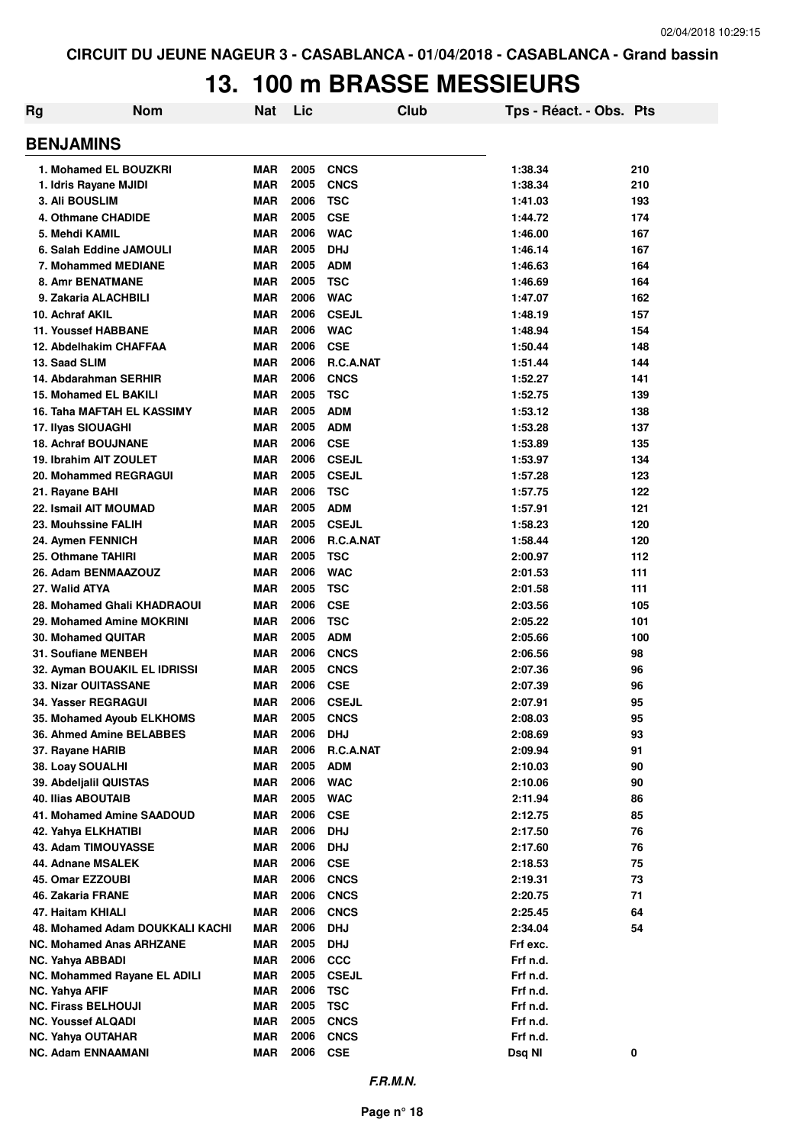# **13. 100 m BRASSE MESSIEURS**

| Rg | <b>Nom</b>                        | <b>Nat</b> | Lic  |              | Club | Tps - Réact. - Obs. Pts |     |
|----|-----------------------------------|------------|------|--------------|------|-------------------------|-----|
|    | <b>BENJAMINS</b>                  |            |      |              |      |                         |     |
|    | 1. Mohamed EL BOUZKRI             | <b>MAR</b> | 2005 | <b>CNCS</b>  |      | 1:38.34                 | 210 |
|    | 1. Idris Rayane MJIDI             | <b>MAR</b> | 2005 | <b>CNCS</b>  |      | 1:38.34                 | 210 |
|    | 3. Ali BOUSLIM                    | <b>MAR</b> | 2006 | <b>TSC</b>   |      | 1:41.03                 | 193 |
|    | 4. Othmane CHADIDE                | <b>MAR</b> | 2005 | <b>CSE</b>   |      | 1:44.72                 | 174 |
|    | 5. Mehdi KAMIL                    | <b>MAR</b> | 2006 | <b>WAC</b>   |      | 1:46.00                 | 167 |
|    | 6. Salah Eddine JAMOULI           | <b>MAR</b> | 2005 | <b>DHJ</b>   |      | 1:46.14                 | 167 |
|    | 7. Mohammed MEDIANE               | <b>MAR</b> | 2005 | <b>ADM</b>   |      | 1:46.63                 | 164 |
|    | <b>8. Amr BENATMANE</b>           | <b>MAR</b> | 2005 | <b>TSC</b>   |      | 1:46.69                 | 164 |
|    | 9. Zakaria ALACHBILI              | <b>MAR</b> | 2006 | <b>WAC</b>   |      | 1:47.07                 | 162 |
|    | 10. Achraf AKIL                   | <b>MAR</b> | 2006 | <b>CSEJL</b> |      | 1:48.19                 | 157 |
|    | <b>11. Youssef HABBANE</b>        | <b>MAR</b> | 2006 | <b>WAC</b>   |      | 1:48.94                 | 154 |
|    | 12. Abdelhakim CHAFFAA            | <b>MAR</b> | 2006 | <b>CSE</b>   |      | 1:50.44                 | 148 |
|    | 13. Saad SLIM                     | <b>MAR</b> | 2006 | R.C.A.NAT    |      | 1:51.44                 | 144 |
|    | 14. Abdarahman SERHIR             | <b>MAR</b> | 2006 | <b>CNCS</b>  |      | 1:52.27                 | 141 |
|    | 15. Mohamed EL BAKILI             | <b>MAR</b> | 2005 | <b>TSC</b>   |      | 1:52.75                 | 139 |
|    | <b>16. Taha MAFTAH EL KASSIMY</b> | <b>MAR</b> | 2005 | <b>ADM</b>   |      | 1:53.12                 | 138 |
|    | 17. Ilyas SIOUAGHI                | <b>MAR</b> | 2005 | <b>ADM</b>   |      | 1:53.28                 | 137 |
|    | <b>18. Achraf BOUJNANE</b>        | <b>MAR</b> | 2006 | <b>CSE</b>   |      | 1:53.89                 | 135 |
|    | 19. Ibrahim AIT ZOULET            | <b>MAR</b> | 2006 | <b>CSEJL</b> |      | 1:53.97                 | 134 |
|    | 20. Mohammed REGRAGUI             | <b>MAR</b> | 2005 | <b>CSEJL</b> |      | 1:57.28                 | 123 |
|    | 21. Rayane BAHI                   | <b>MAR</b> | 2006 | <b>TSC</b>   |      | 1:57.75                 | 122 |
|    | 22. Ismail AIT MOUMAD             | <b>MAR</b> | 2005 | <b>ADM</b>   |      | 1:57.91                 | 121 |
|    | 23. Mouhssine FALIH               | <b>MAR</b> | 2005 | <b>CSEJL</b> |      | 1:58.23                 | 120 |
|    | 24. Aymen FENNICH                 | <b>MAR</b> | 2006 | R.C.A.NAT    |      | 1:58.44                 | 120 |
|    | 25. Othmane TAHIRI                | <b>MAR</b> | 2005 | <b>TSC</b>   |      | 2:00.97                 | 112 |
|    | 26. Adam BENMAAZOUZ               | <b>MAR</b> | 2006 | <b>WAC</b>   |      | 2:01.53                 | 111 |
|    | 27. Walid ATYA                    | <b>MAR</b> | 2005 | <b>TSC</b>   |      | 2:01.58                 | 111 |
|    | 28. Mohamed Ghali KHADRAOUI       | <b>MAR</b> | 2006 | <b>CSE</b>   |      | 2:03.56                 | 105 |
|    | 29. Mohamed Amine MOKRINI         | <b>MAR</b> | 2006 | <b>TSC</b>   |      | 2:05.22                 | 101 |
|    | 30. Mohamed QUITAR                | <b>MAR</b> | 2005 | <b>ADM</b>   |      | 2:05.66                 | 100 |
|    | 31. Soufiane MENBEH               | <b>MAR</b> | 2006 | <b>CNCS</b>  |      | 2:06.56                 | 98  |
|    | 32. Ayman BOUAKIL EL IDRISSI      | <b>MAR</b> | 2005 | <b>CNCS</b>  |      | 2:07.36                 | 96  |
|    | 33. Nizar OUITASSANE              | <b>MAR</b> | 2006 | <b>CSE</b>   |      | 2:07.39                 | 96  |
|    | 34. Yasser REGRAGUI               | <b>MAR</b> | 2006 | <b>CSEJL</b> |      | 2:07.91                 | 95  |
|    | 35. Mohamed Ayoub ELKHOMS         | <b>MAR</b> | 2005 | <b>CNCS</b>  |      | 2:08.03                 | 95  |
|    | 36. Ahmed Amine BELABBES          | <b>MAR</b> | 2006 | <b>DHJ</b>   |      | 2:08.69                 | 93  |
|    | 37. Rayane HARIB                  | <b>MAR</b> | 2006 | R.C.A.NAT    |      | 2:09.94                 | 91  |
|    | 38. Loay SOUALHI                  | MAR        | 2005 | <b>ADM</b>   |      | 2:10.03                 | 90  |
|    | 39. Abdeljalil QUISTAS            | <b>MAR</b> | 2006 | <b>WAC</b>   |      | 2:10.06                 | 90  |
|    | <b>40. Ilias ABOUTAIB</b>         | <b>MAR</b> | 2005 | <b>WAC</b>   |      | 2:11.94                 | 86  |
|    | 41. Mohamed Amine SAADOUD         | <b>MAR</b> | 2006 | <b>CSE</b>   |      | 2:12.75                 | 85  |
|    | 42. Yahya ELKHATIBI               | <b>MAR</b> | 2006 | <b>DHJ</b>   |      | 2:17.50                 | 76  |
|    | 43. Adam TIMOUYASSE               | <b>MAR</b> | 2006 | <b>DHJ</b>   |      | 2:17.60                 | 76  |
|    | 44. Adnane MSALEK                 | <b>MAR</b> | 2006 | <b>CSE</b>   |      | 2:18.53                 | 75  |
|    | 45. Omar EZZOUBI                  | <b>MAR</b> | 2006 | <b>CNCS</b>  |      | 2:19.31                 | 73  |
|    | 46. Zakaria FRANE                 | <b>MAR</b> | 2006 | <b>CNCS</b>  |      | 2:20.75                 | 71  |
|    | 47. Haitam KHIALI                 | <b>MAR</b> | 2006 | <b>CNCS</b>  |      | 2:25.45                 | 64  |
|    | 48. Mohamed Adam DOUKKALI KACHI   | <b>MAR</b> | 2006 | <b>DHJ</b>   |      | 2:34.04                 | 54  |
|    | <b>NC. Mohamed Anas ARHZANE</b>   | <b>MAR</b> | 2005 | <b>DHJ</b>   |      | Frf exc.                |     |
|    | NC. Yahya ABBADI                  | MAR        | 2006 | <b>CCC</b>   |      | Frf n.d.                |     |
|    | NC. Mohammed Rayane EL ADILI      | MAR        | 2005 | <b>CSEJL</b> |      | Frf n.d.                |     |
|    | <b>NC. Yahya AFIF</b>             | MAR        | 2006 | <b>TSC</b>   |      | Frf n.d.                |     |
|    | <b>NC. Firass BELHOUJI</b>        | <b>MAR</b> | 2005 | <b>TSC</b>   |      | Frf n.d.                |     |
|    | <b>NC. Youssef ALQADI</b>         | <b>MAR</b> | 2005 | <b>CNCS</b>  |      | Frf n.d.                |     |
|    | <b>NC. Yahya OUTAHAR</b>          | <b>MAR</b> | 2006 | <b>CNCS</b>  |      | Frf n.d.                |     |
|    | <b>NC. Adam ENNAAMANI</b>         | <b>MAR</b> | 2006 | <b>CSE</b>   |      | Dsq NI                  | 0   |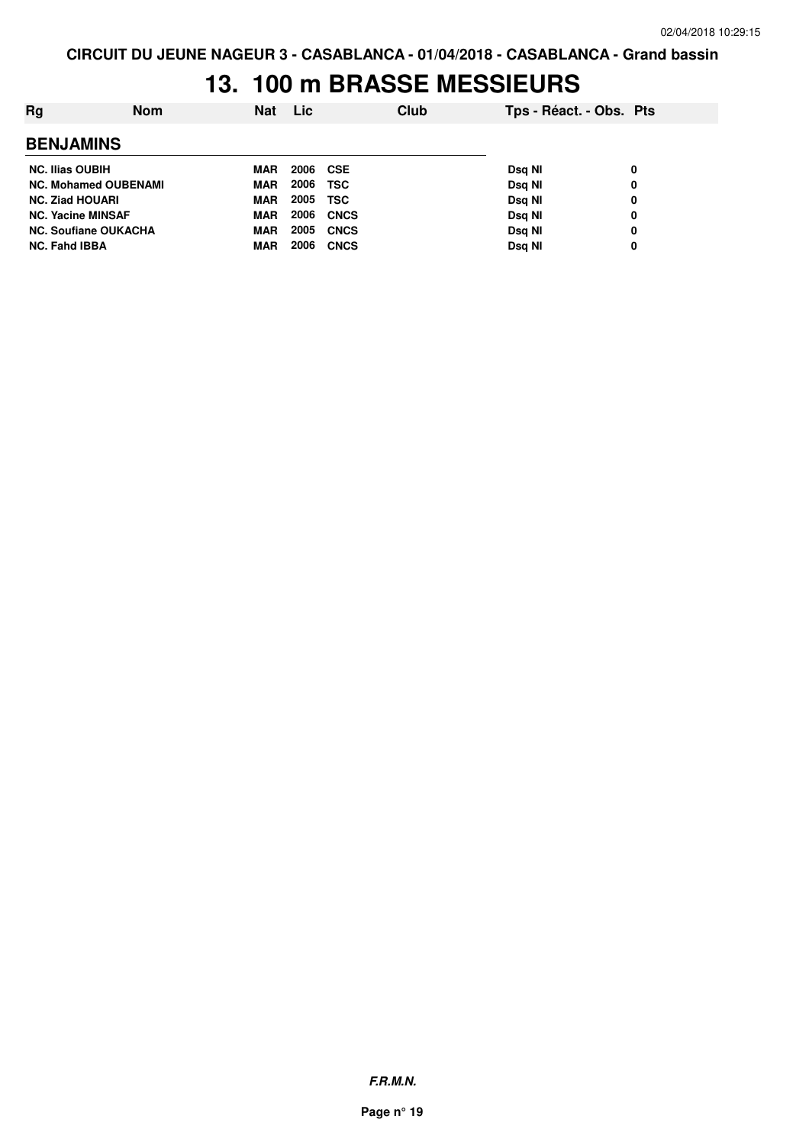# **13. 100 m BRASSE MESSIEURS**

| Ra                          | <b>Nom</b> | <b>Nat</b> | Lic      |             | Club | Tps - Réact. - Obs. Pts |   |
|-----------------------------|------------|------------|----------|-------------|------|-------------------------|---|
| <b>BENJAMINS</b>            |            |            |          |             |      |                         |   |
| <b>NC. Ilias OUBIH</b>      |            | MAR        | 2006 CSE |             |      | Dsg NI                  | 0 |
| <b>NC. Mohamed OUBENAMI</b> |            | <b>MAR</b> | 2006     | <b>TSC</b>  |      | Dsg NI                  | 0 |
| <b>NC. Ziad HOUARI</b>      |            | <b>MAR</b> | 2005     | <b>TSC</b>  |      | Dsg NI                  | 0 |
| <b>NC. Yacine MINSAF</b>    |            | <b>MAR</b> | 2006     | <b>CNCS</b> |      | Dsg NI                  | 0 |
| <b>NC. Soufiane OUKACHA</b> |            | <b>MAR</b> | 2005     | <b>CNCS</b> |      | Dsg NI                  | 0 |
| <b>NC. Fahd IBBA</b>        |            | MAR        | 2006     | <b>CNCS</b> |      | Dsg NI                  | 0 |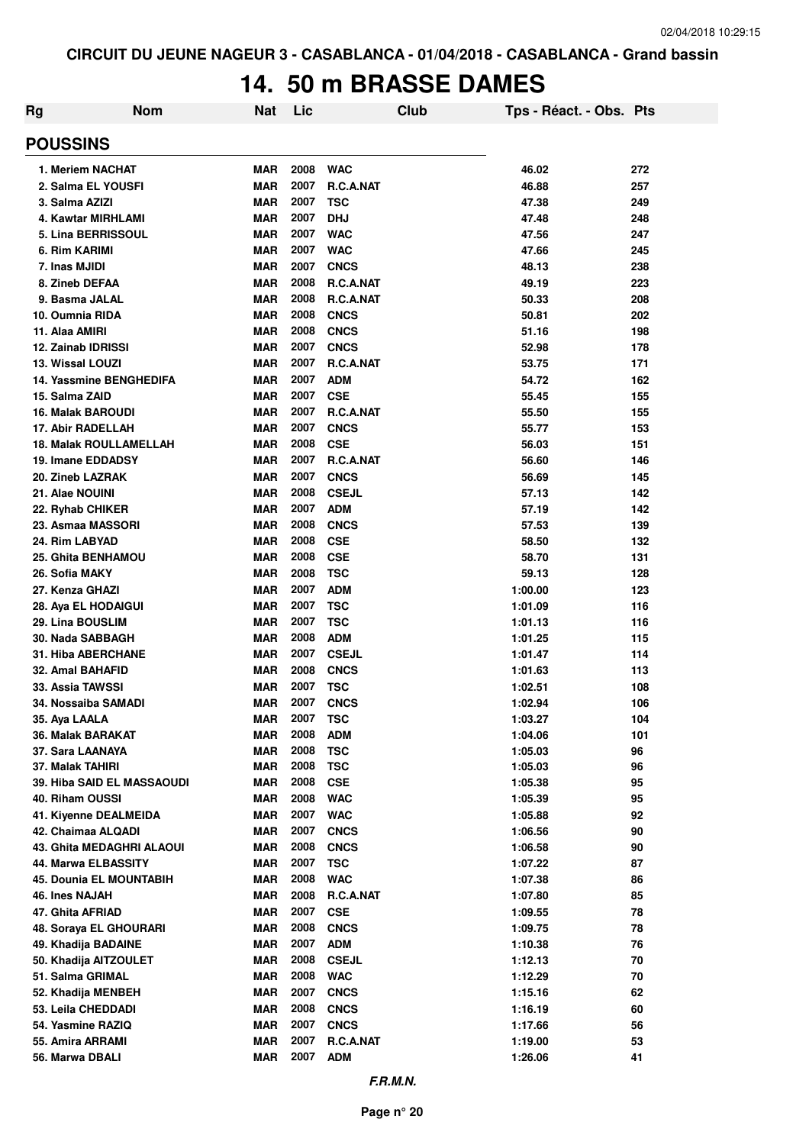### **14. 50 m BRASSE DAMES**

| Rg                                    | <b>Nom</b>                     | Nat                      | Lic          |                          | Club | Tps - Réact. - Obs. Pts |            |
|---------------------------------------|--------------------------------|--------------------------|--------------|--------------------------|------|-------------------------|------------|
| <b>POUSSINS</b>                       |                                |                          |              |                          |      |                         |            |
| 1. Meriem NACHAT                      |                                | <b>MAR</b>               | 2008         | <b>WAC</b>               |      | 46.02                   | 272        |
|                                       | 2. Salma EL YOUSFI             | <b>MAR</b>               | 2007         | R.C.A.NAT                |      | 46.88                   | 257        |
| 3. Salma AZIZI                        |                                | <b>MAR</b>               | 2007         | <b>TSC</b>               |      | 47.38                   | 249        |
|                                       | 4. Kawtar MIRHLAMI             | <b>MAR</b>               | 2007         | <b>DHJ</b>               |      | 47.48                   | 248        |
|                                       | 5. Lina BERRISSOUL             | <b>MAR</b>               | 2007         | <b>WAC</b>               |      | 47.56                   | 247        |
| 6. Rim KARIMI                         |                                | <b>MAR</b>               | 2007         | <b>WAC</b>               |      | 47.66                   | 245        |
| 7. Inas MJIDI                         |                                | <b>MAR</b>               | 2007         | <b>CNCS</b>              |      | 48.13                   | 238        |
| 8. Zineb DEFAA                        |                                | <b>MAR</b>               | 2008         | R.C.A.NAT                |      | 49.19                   | 223        |
| 9. Basma JALAL                        |                                | <b>MAR</b>               | 2008         | R.C.A.NAT                |      | 50.33                   | 208        |
| 10. Oumnia RIDA                       |                                | <b>MAR</b>               | 2008         | <b>CNCS</b>              |      | 50.81                   | 202        |
| 11. Alaa AMIRI                        |                                | <b>MAR</b>               | 2008         | <b>CNCS</b>              |      | 51.16                   | 198        |
| 12. Zainab IDRISSI                    |                                | <b>MAR</b>               | 2007         | <b>CNCS</b>              |      | 52.98                   | 178        |
| 13. Wissal LOUZI                      |                                | <b>MAR</b>               | 2007         | R.C.A.NAT                |      | 53.75                   | 171        |
|                                       | <b>14. Yassmine BENGHEDIFA</b> | <b>MAR</b>               | 2007         | <b>ADM</b>               |      | 54.72                   | 162        |
| 15. Salma ZAID                        |                                | <b>MAR</b>               | 2007         | <b>CSE</b>               |      | 55.45                   | 155        |
| <b>16. Malak BAROUDI</b>              |                                | <b>MAR</b>               | 2007         | R.C.A.NAT                |      | 55.50                   | 155        |
| 17. Abir RADELLAH                     |                                | <b>MAR</b>               | 2007<br>2008 | <b>CNCS</b>              |      | 55.77                   | 153        |
|                                       | <b>18. Malak ROULLAMELLAH</b>  | <b>MAR</b>               | 2007         | <b>CSE</b>               |      | 56.03                   | 151        |
| 19. Imane EDDADSY<br>20. Zineb LAZRAK |                                | <b>MAR</b><br><b>MAR</b> | 2007         | R.C.A.NAT<br><b>CNCS</b> |      | 56.60<br>56.69          | 146        |
| 21. Alae NOUINI                       |                                | <b>MAR</b>               | 2008         | <b>CSEJL</b>             |      | 57.13                   | 145<br>142 |
| 22. Ryhab CHIKER                      |                                | <b>MAR</b>               | 2007         | <b>ADM</b>               |      | 57.19                   | 142        |
| 23. Asmaa MASSORI                     |                                | <b>MAR</b>               | 2008         | <b>CNCS</b>              |      | 57.53                   | 139        |
| 24. Rim LABYAD                        |                                | <b>MAR</b>               | 2008         | <b>CSE</b>               |      | 58.50                   | 132        |
| <b>25. Ghita BENHAMOU</b>             |                                | <b>MAR</b>               | 2008         | <b>CSE</b>               |      | 58.70                   | 131        |
| 26. Sofia MAKY                        |                                | <b>MAR</b>               | 2008         | <b>TSC</b>               |      | 59.13                   | 128        |
| 27. Kenza GHAZI                       |                                | <b>MAR</b>               | 2007         | <b>ADM</b>               |      | 1:00.00                 | 123        |
| 28. Aya EL HODAIGUI                   |                                | <b>MAR</b>               | 2007         | <b>TSC</b>               |      | 1:01.09                 | 116        |
| 29. Lina BOUSLIM                      |                                | <b>MAR</b>               | 2007         | <b>TSC</b>               |      | 1:01.13                 | 116        |
| 30. Nada SABBAGH                      |                                | <b>MAR</b>               | 2008         | <b>ADM</b>               |      | 1:01.25                 | 115        |
| <b>31. Hiba ABERCHANE</b>             |                                | <b>MAR</b>               | 2007         | <b>CSEJL</b>             |      | 1:01.47                 | 114        |
| 32. Amal BAHAFID                      |                                | <b>MAR</b>               | 2008         | <b>CNCS</b>              |      | 1:01.63                 | 113        |
| <b>33. Assia TAWSSI</b>               |                                | <b>MAR</b>               | 2007         | <b>TSC</b>               |      | 1:02.51                 | 108        |
| 34. Nossaiba SAMADI                   |                                | <b>MAR</b>               | 2007         | <b>CNCS</b>              |      | 1:02.94                 | 106        |
| 35. Aya LAALA                         |                                | <b>MAR</b>               | 2007         | <b>TSC</b>               |      | 1:03.27                 | 104        |
| 36. Malak BARAKAT                     |                                | <b>MAR</b>               | 2008         | <b>ADM</b>               |      | 1:04.06                 | 101        |
| 37. Sara LAANAYA                      |                                | <b>MAR</b>               | 2008         | <b>TSC</b>               |      | 1:05.03                 | 96         |
| 37. Malak TAHIRI                      |                                | <b>MAR</b>               | 2008         | <b>TSC</b>               |      | 1:05.03                 | 96         |
|                                       | 39. Hiba SAID EL MASSAOUDI     | <b>MAR</b>               | 2008         | <b>CSE</b>               |      | 1:05.38                 | 95         |
| 40. Riham OUSSI                       |                                | <b>MAR</b>               | 2008         | <b>WAC</b>               |      | 1:05.39                 | 95         |
|                                       | 41. Kiyenne DEALMEIDA          | <b>MAR</b>               | 2007         | <b>WAC</b>               |      | 1:05.88                 | 92         |
| 42. Chaimaa ALQADI                    |                                | <b>MAR</b>               | 2007         | <b>CNCS</b>              |      | 1:06.56                 | 90         |
|                                       | 43. Ghita MEDAGHRI ALAOUI      | <b>MAR</b>               | 2008         | <b>CNCS</b>              |      | 1:06.58                 | 90         |
|                                       | 44. Marwa ELBASSITY            | <b>MAR</b>               | 2007         | <b>TSC</b>               |      | 1:07.22                 | 87         |
|                                       | <b>45. Dounia EL MOUNTABIH</b> | <b>MAR</b>               | 2008         | <b>WAC</b>               |      | 1:07.38                 | 86         |
| 46. Ines NAJAH                        |                                | <b>MAR</b>               | 2008         | R.C.A.NAT                |      | 1:07.80                 | 85         |
| 47. Ghita AFRIAD                      |                                | <b>MAR</b>               | 2007         | <b>CSE</b>               |      | 1:09.55                 | 78         |
|                                       | 48. Soraya EL GHOURARI         | <b>MAR</b>               | 2008         | <b>CNCS</b>              |      | 1:09.75                 | 78         |
| 49. Khadija BADAINE                   |                                | <b>MAR</b>               | 2007         | <b>ADM</b>               |      | 1:10.38                 | 76         |
|                                       | 50. Khadija AITZOULET          | <b>MAR</b>               | 2008         | <b>CSEJL</b>             |      | 1:12.13                 | 70         |
| 51. Salma GRIMAL                      |                                | <b>MAR</b>               | 2008         | <b>WAC</b>               |      | 1:12.29                 | 70         |
| 52. Khadija MENBEH                    |                                | <b>MAR</b>               | 2007         | <b>CNCS</b>              |      | 1:15.16                 | 62         |
| 53. Leila CHEDDADI                    |                                | <b>MAR</b>               | 2008         | <b>CNCS</b>              |      | 1:16.19                 | 60         |
| 54. Yasmine RAZIQ                     |                                | <b>MAR</b>               | 2007         | <b>CNCS</b>              |      | 1:17.66                 | 56         |
| 55. Amira ARRAMI                      |                                | <b>MAR</b>               | 2007         | R.C.A.NAT                |      | 1:19.00                 | 53         |
| 56. Marwa DBALI                       |                                | <b>MAR</b>               | 2007         | <b>ADM</b>               |      | 1:26.06                 | 41         |